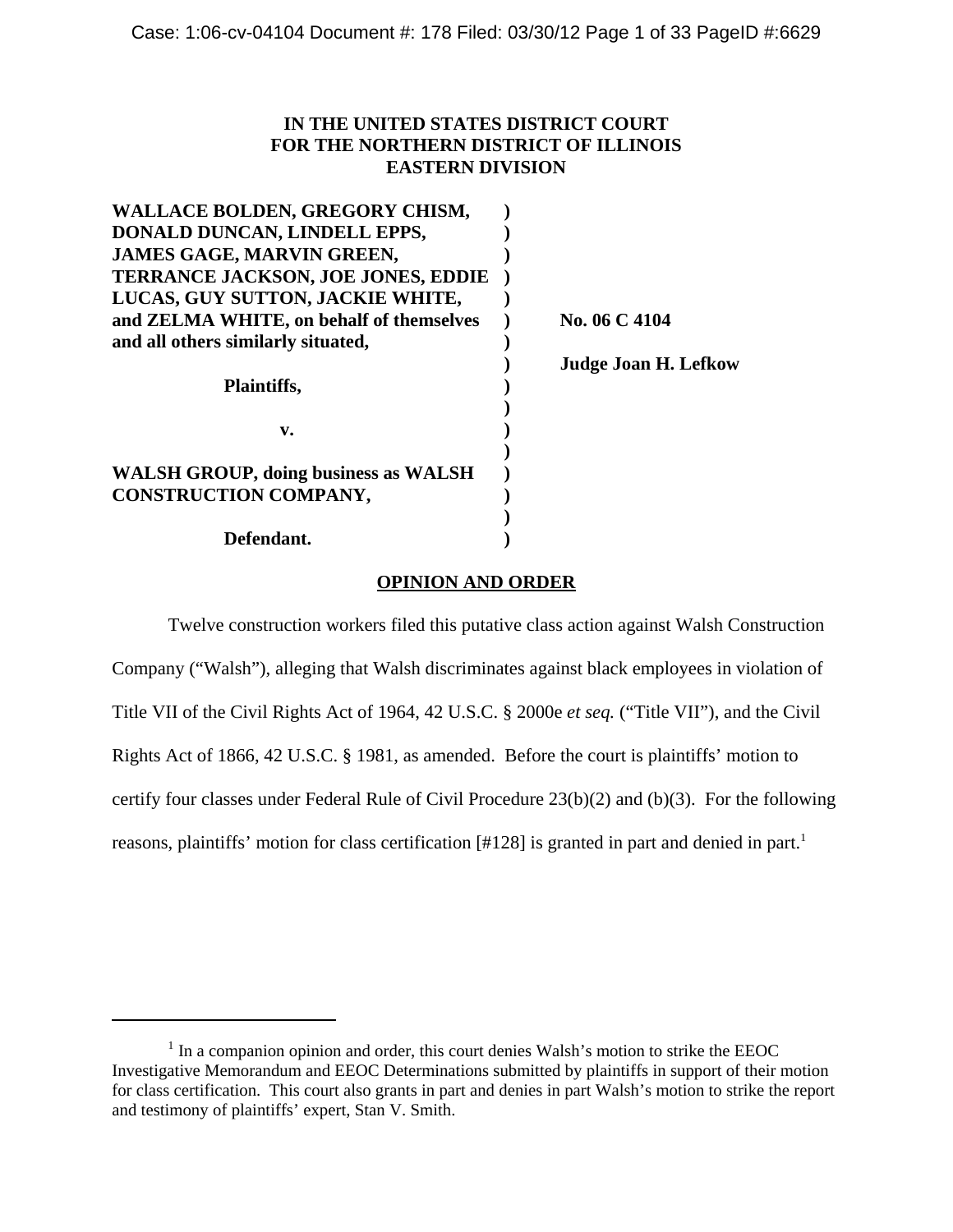# **IN THE UNITED STATES DISTRICT COURT FOR THE NORTHERN DISTRICT OF ILLINOIS EASTERN DIVISION**

| <b>WALLACE BOLDEN, GREGORY CHISM,</b>       |                             |
|---------------------------------------------|-----------------------------|
| DONALD DUNCAN, LINDELL EPPS,                |                             |
| <b>JAMES GAGE, MARVIN GREEN,</b>            |                             |
| <b>TERRANCE JACKSON, JOE JONES, EDDIE</b>   |                             |
| LUCAS, GUY SUTTON, JACKIE WHITE,            |                             |
| and ZELMA WHITE, on behalf of themselves    | No. 06 C 4104               |
| and all others similarly situated,          |                             |
|                                             | <b>Judge Joan H. Lefkow</b> |
| Plaintiffs,                                 |                             |
|                                             |                             |
| v.                                          |                             |
|                                             |                             |
| <b>WALSH GROUP, doing business as WALSH</b> |                             |
| <b>CONSTRUCTION COMPANY,</b>                |                             |
|                                             |                             |
| Defendant.                                  |                             |

# **OPINION AND ORDER**

Twelve construction workers filed this putative class action against Walsh Construction Company ("Walsh"), alleging that Walsh discriminates against black employees in violation of Title VII of the Civil Rights Act of 1964, 42 U.S.C. § 2000e *et seq.* ("Title VII"), and the Civil Rights Act of 1866, 42 U.S.C. § 1981, as amended. Before the court is plaintiffs' motion to certify four classes under Federal Rule of Civil Procedure 23(b)(2) and (b)(3). For the following reasons, plaintiffs' motion for class certification [#128] is granted in part and denied in part.<sup>1</sup>

<sup>&</sup>lt;sup>1</sup> In a companion opinion and order, this court denies Walsh's motion to strike the EEOC Investigative Memorandum and EEOC Determinations submitted by plaintiffs in support of their motion for class certification. This court also grants in part and denies in part Walsh's motion to strike the report and testimony of plaintiffs' expert, Stan V. Smith.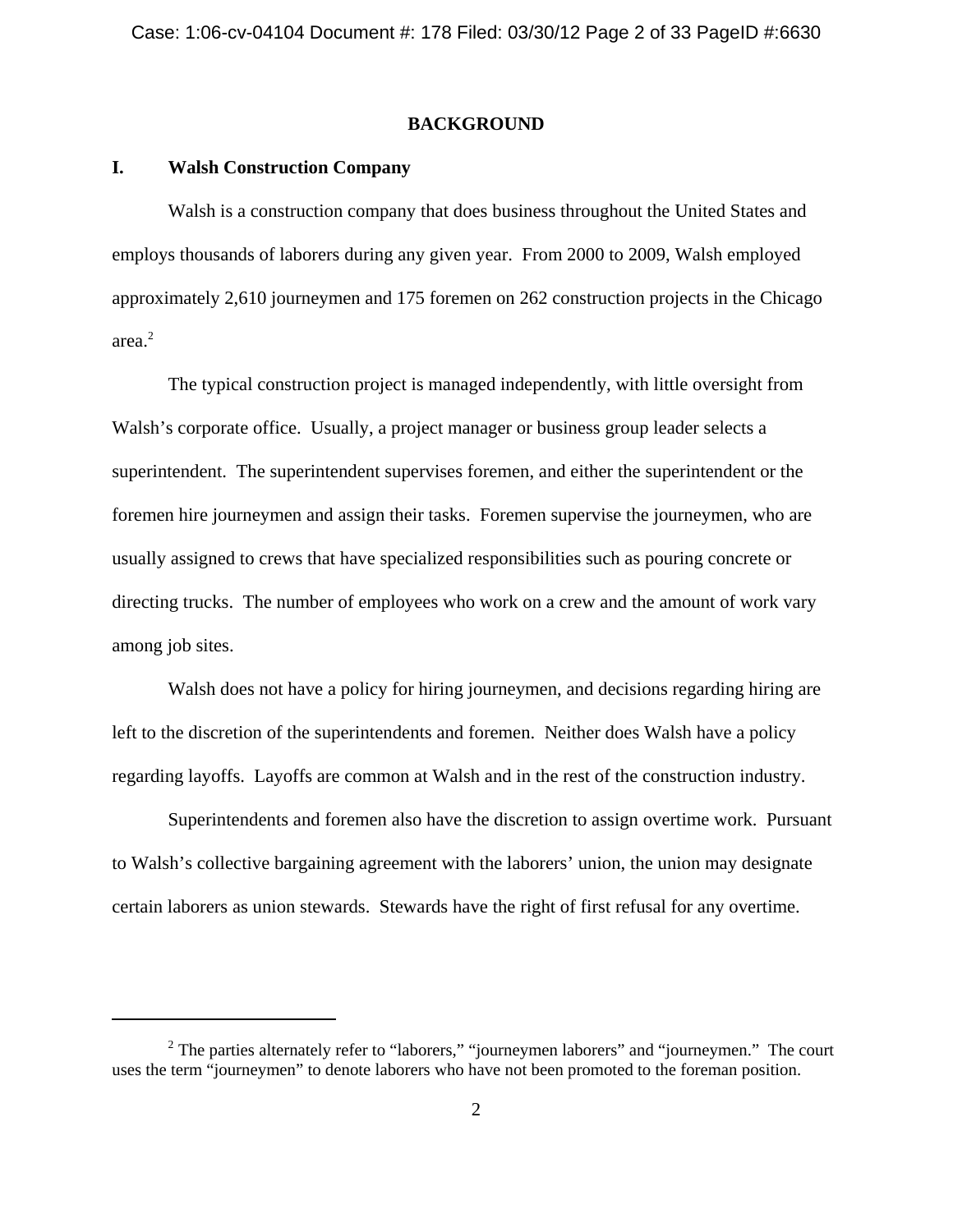# **BACKGROUND**

# **I. Walsh Construction Company**

Walsh is a construction company that does business throughout the United States and employs thousands of laborers during any given year. From 2000 to 2009, Walsh employed approximately 2,610 journeymen and 175 foremen on 262 construction projects in the Chicago area.<sup>2</sup>

The typical construction project is managed independently, with little oversight from Walsh's corporate office. Usually, a project manager or business group leader selects a superintendent. The superintendent supervises foremen, and either the superintendent or the foremen hire journeymen and assign their tasks. Foremen supervise the journeymen, who are usually assigned to crews that have specialized responsibilities such as pouring concrete or directing trucks. The number of employees who work on a crew and the amount of work vary among job sites.

Walsh does not have a policy for hiring journeymen, and decisions regarding hiring are left to the discretion of the superintendents and foremen. Neither does Walsh have a policy regarding layoffs. Layoffs are common at Walsh and in the rest of the construction industry.

Superintendents and foremen also have the discretion to assign overtime work. Pursuant to Walsh's collective bargaining agreement with the laborers' union, the union may designate certain laborers as union stewards. Stewards have the right of first refusal for any overtime.

 $2$  The parties alternately refer to "laborers," "journeymen laborers" and "journeymen." The court uses the term "journeymen" to denote laborers who have not been promoted to the foreman position.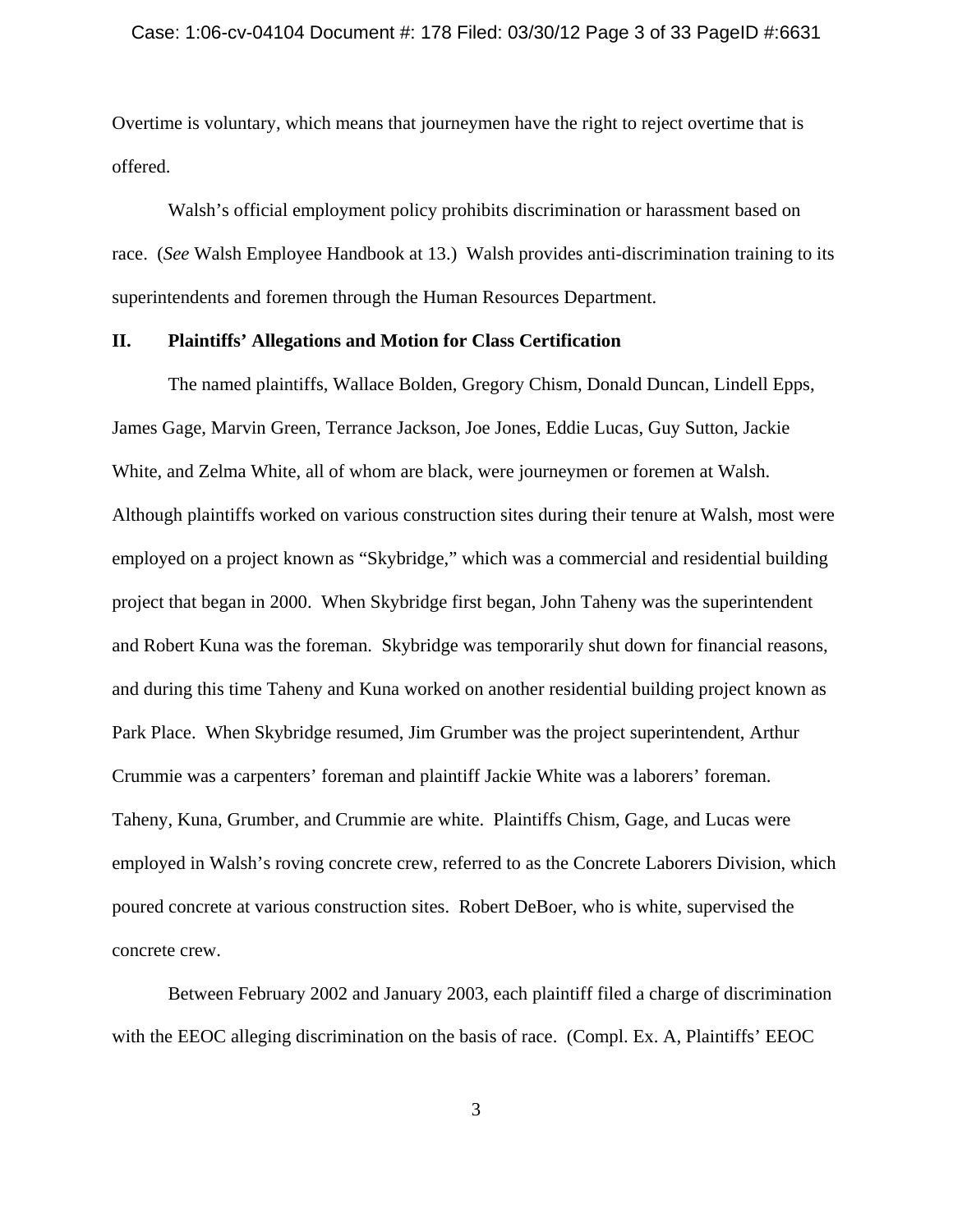#### Case: 1:06-cv-04104 Document #: 178 Filed: 03/30/12 Page 3 of 33 PageID #:6631

Overtime is voluntary, which means that journeymen have the right to reject overtime that is offered.

Walsh's official employment policy prohibits discrimination or harassment based on race. (*See* Walsh Employee Handbook at 13.) Walsh provides anti-discrimination training to its superintendents and foremen through the Human Resources Department.

# **II. Plaintiffs' Allegations and Motion for Class Certification**

The named plaintiffs, Wallace Bolden, Gregory Chism, Donald Duncan, Lindell Epps, James Gage, Marvin Green, Terrance Jackson, Joe Jones, Eddie Lucas, Guy Sutton, Jackie White, and Zelma White, all of whom are black, were journeymen or foremen at Walsh. Although plaintiffs worked on various construction sites during their tenure at Walsh, most were employed on a project known as "Skybridge," which was a commercial and residential building project that began in 2000. When Skybridge first began, John Taheny was the superintendent and Robert Kuna was the foreman. Skybridge was temporarily shut down for financial reasons, and during this time Taheny and Kuna worked on another residential building project known as Park Place. When Skybridge resumed, Jim Grumber was the project superintendent, Arthur Crummie was a carpenters' foreman and plaintiff Jackie White was a laborers' foreman. Taheny, Kuna, Grumber, and Crummie are white. Plaintiffs Chism, Gage, and Lucas were employed in Walsh's roving concrete crew, referred to as the Concrete Laborers Division, which poured concrete at various construction sites. Robert DeBoer, who is white, supervised the concrete crew.

Between February 2002 and January 2003, each plaintiff filed a charge of discrimination with the EEOC alleging discrimination on the basis of race. (Compl. Ex. A, Plaintiffs' EEOC

3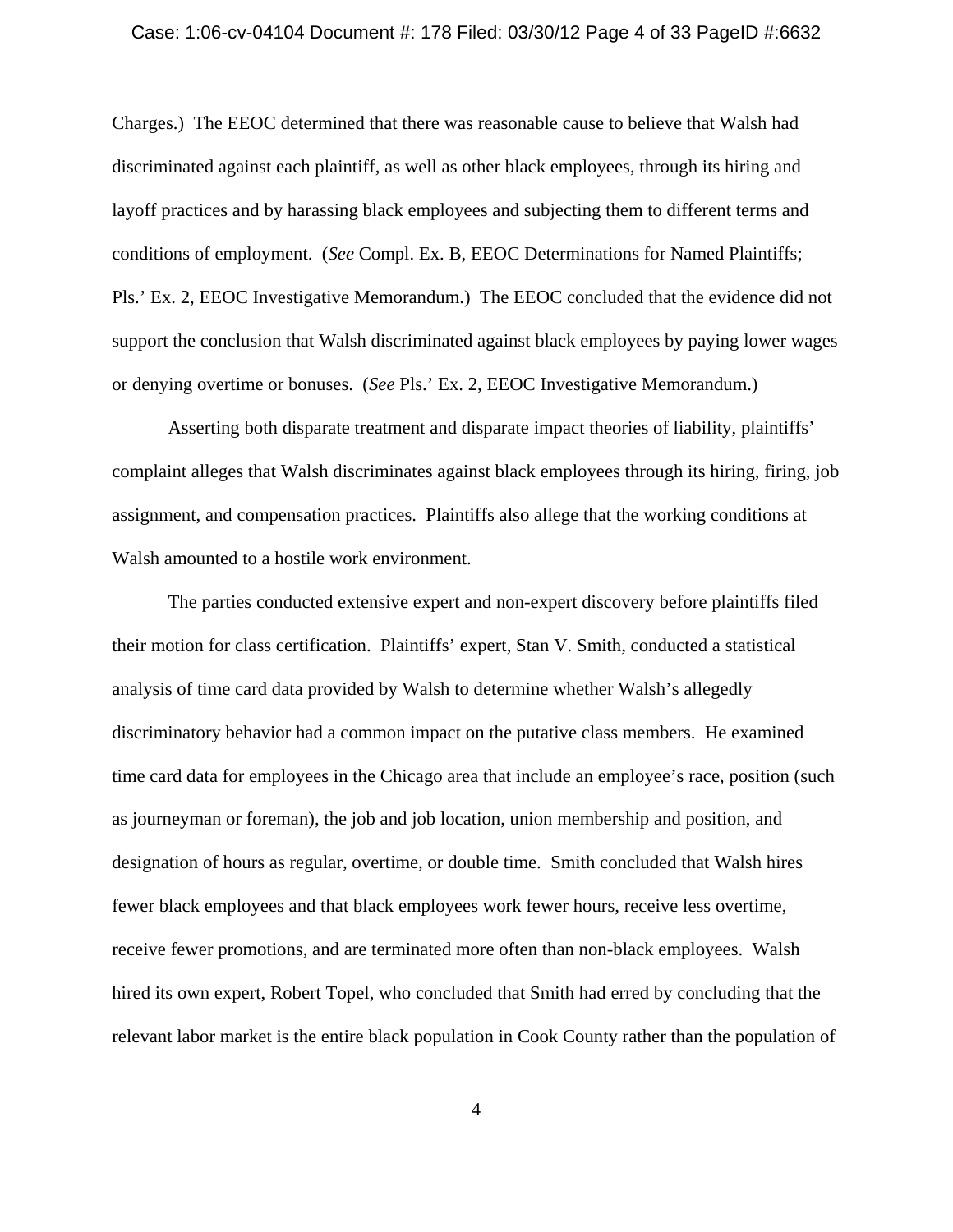#### Case: 1:06-cv-04104 Document #: 178 Filed: 03/30/12 Page 4 of 33 PageID #:6632

Charges.) The EEOC determined that there was reasonable cause to believe that Walsh had discriminated against each plaintiff, as well as other black employees, through its hiring and layoff practices and by harassing black employees and subjecting them to different terms and conditions of employment. (*See* Compl. Ex. B, EEOC Determinations for Named Plaintiffs; Pls.' Ex. 2, EEOC Investigative Memorandum.) The EEOC concluded that the evidence did not support the conclusion that Walsh discriminated against black employees by paying lower wages or denying overtime or bonuses. (*See* Pls.' Ex. 2, EEOC Investigative Memorandum.)

Asserting both disparate treatment and disparate impact theories of liability, plaintiffs' complaint alleges that Walsh discriminates against black employees through its hiring, firing, job assignment, and compensation practices. Plaintiffs also allege that the working conditions at Walsh amounted to a hostile work environment.

The parties conducted extensive expert and non-expert discovery before plaintiffs filed their motion for class certification. Plaintiffs' expert, Stan V. Smith, conducted a statistical analysis of time card data provided by Walsh to determine whether Walsh's allegedly discriminatory behavior had a common impact on the putative class members. He examined time card data for employees in the Chicago area that include an employee's race, position (such as journeyman or foreman), the job and job location, union membership and position, and designation of hours as regular, overtime, or double time. Smith concluded that Walsh hires fewer black employees and that black employees work fewer hours, receive less overtime, receive fewer promotions, and are terminated more often than non-black employees. Walsh hired its own expert, Robert Topel, who concluded that Smith had erred by concluding that the relevant labor market is the entire black population in Cook County rather than the population of

4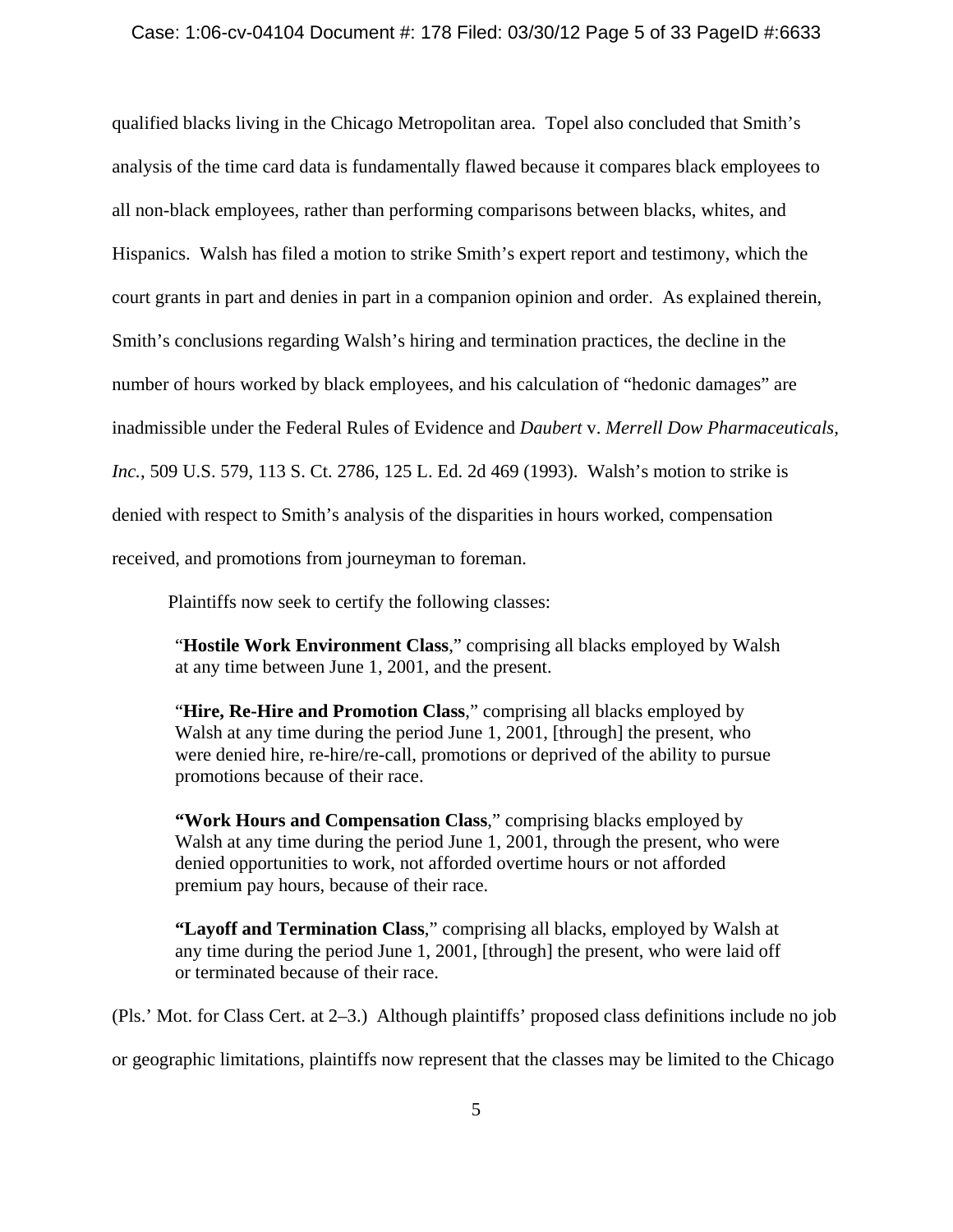## Case: 1:06-cv-04104 Document #: 178 Filed: 03/30/12 Page 5 of 33 PageID #:6633

qualified blacks living in the Chicago Metropolitan area. Topel also concluded that Smith's analysis of the time card data is fundamentally flawed because it compares black employees to all non-black employees, rather than performing comparisons between blacks, whites, and Hispanics. Walsh has filed a motion to strike Smith's expert report and testimony, which the court grants in part and denies in part in a companion opinion and order. As explained therein, Smith's conclusions regarding Walsh's hiring and termination practices, the decline in the number of hours worked by black employees, and his calculation of "hedonic damages" are inadmissible under the Federal Rules of Evidence and *Daubert* v. *Merrell Dow Pharmaceuticals, Inc.*, 509 U.S. 579, 113 S. Ct. 2786, 125 L. Ed. 2d 469 (1993). Walsh's motion to strike is denied with respect to Smith's analysis of the disparities in hours worked, compensation received, and promotions from journeyman to foreman.

Plaintiffs now seek to certify the following classes:

"**Hostile Work Environment Class**," comprising all blacks employed by Walsh at any time between June 1, 2001, and the present.

"**Hire, Re-Hire and Promotion Class**," comprising all blacks employed by Walsh at any time during the period June 1, 2001, [through] the present, who were denied hire, re-hire/re-call, promotions or deprived of the ability to pursue promotions because of their race.

**"Work Hours and Compensation Class**," comprising blacks employed by Walsh at any time during the period June 1, 2001, through the present, who were denied opportunities to work, not afforded overtime hours or not afforded premium pay hours, because of their race.

**"Layoff and Termination Class**," comprising all blacks, employed by Walsh at any time during the period June 1, 2001, [through] the present, who were laid off or terminated because of their race.

(Pls.' Mot. for Class Cert. at 2–3.) Although plaintiffs' proposed class definitions include no job

or geographic limitations, plaintiffs now represent that the classes may be limited to the Chicago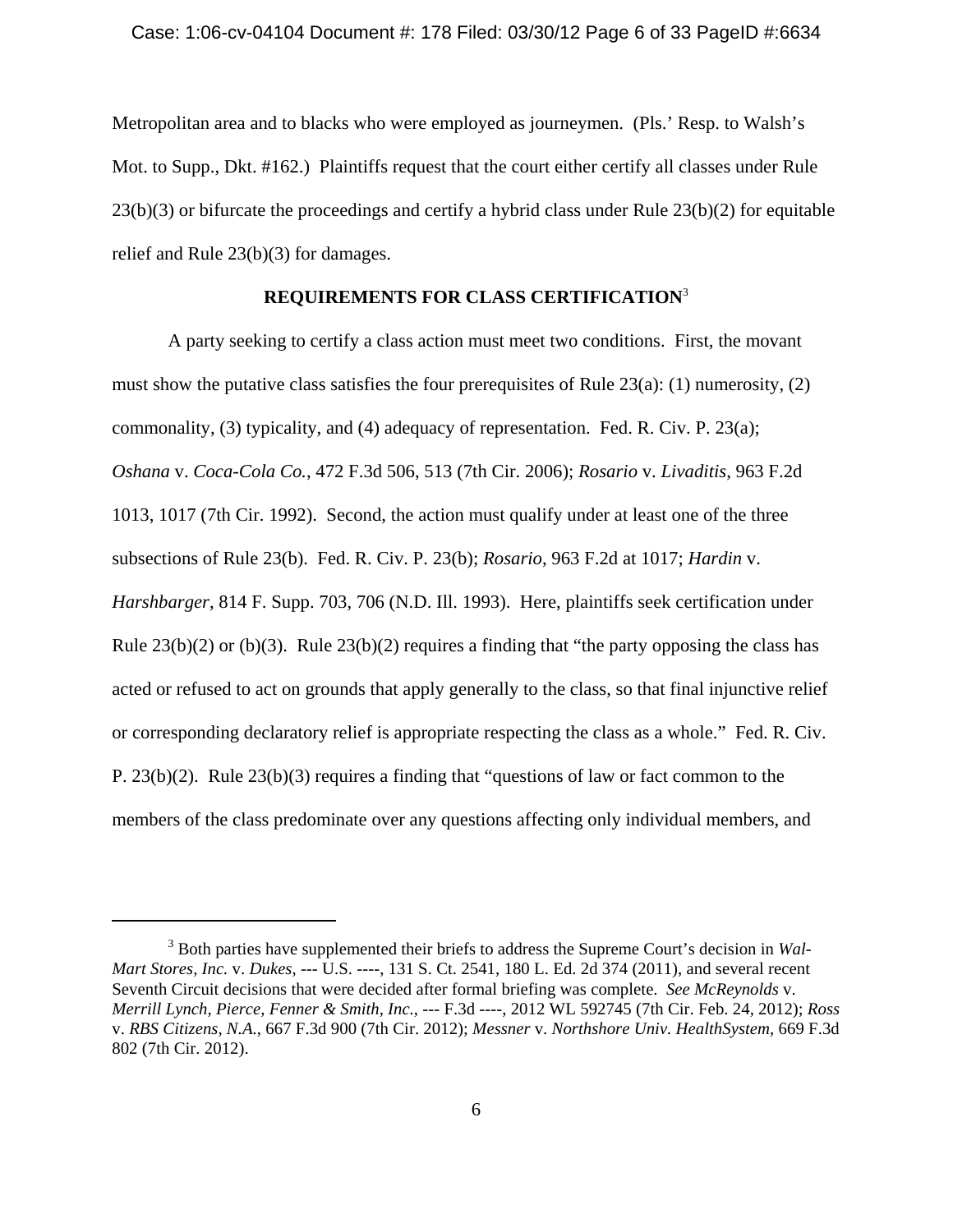Metropolitan area and to blacks who were employed as journeymen. (Pls.' Resp. to Walsh's Mot. to Supp., Dkt. #162.) Plaintiffs request that the court either certify all classes under Rule  $23(b)(3)$  or bifurcate the proceedings and certify a hybrid class under Rule  $23(b)(2)$  for equitable relief and Rule 23(b)(3) for damages.

# **REQUIREMENTS FOR CLASS CERTIFICATION**<sup>3</sup>

A party seeking to certify a class action must meet two conditions. First, the movant must show the putative class satisfies the four prerequisites of Rule 23(a): (1) numerosity, (2) commonality, (3) typicality, and (4) adequacy of representation. Fed. R. Civ. P. 23(a); *Oshana* v. *Coca-Cola Co.*, 472 F.3d 506, 513 (7th Cir. 2006); *Rosario* v. *Livaditis*, 963 F.2d 1013, 1017 (7th Cir. 1992). Second, the action must qualify under at least one of the three subsections of Rule 23(b). Fed. R. Civ. P. 23(b); *Rosario*, 963 F.2d at 1017; *Hardin* v. *Harshbarger*, 814 F. Supp. 703, 706 (N.D. Ill. 1993). Here, plaintiffs seek certification under Rule  $23(b)(2)$  or (b)(3). Rule  $23(b)(2)$  requires a finding that "the party opposing the class has acted or refused to act on grounds that apply generally to the class, so that final injunctive relief or corresponding declaratory relief is appropriate respecting the class as a whole." Fed. R. Civ. P. 23(b)(2). Rule 23(b)(3) requires a finding that "questions of law or fact common to the members of the class predominate over any questions affecting only individual members, and

<sup>3</sup> Both parties have supplemented their briefs to address the Supreme Court's decision in *Wal-Mart Stores, Inc.* v. *Dukes*, --- U.S. ----, 131 S. Ct. 2541, 180 L. Ed. 2d 374 (2011), and several recent Seventh Circuit decisions that were decided after formal briefing was complete. *See McReynolds* v. *Merrill Lynch, Pierce, Fenner & Smith, Inc.*, --- F.3d ----, 2012 WL 592745 (7th Cir. Feb. 24, 2012); *Ross* v. *RBS Citizens, N.A.*, 667 F.3d 900 (7th Cir. 2012); *Messner* v. *Northshore Univ. HealthSystem*, 669 F.3d 802 (7th Cir. 2012).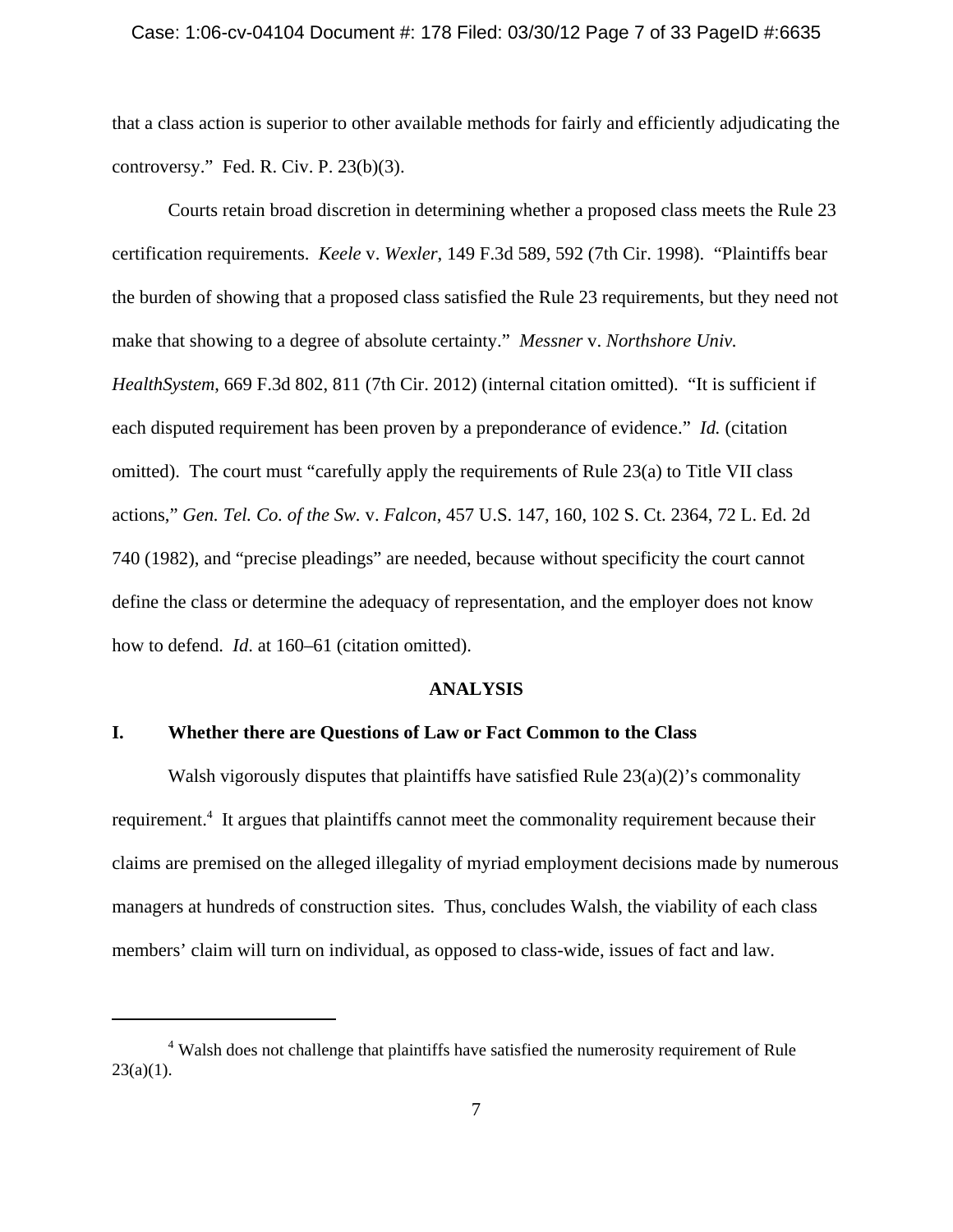#### Case: 1:06-cv-04104 Document #: 178 Filed: 03/30/12 Page 7 of 33 PageID #:6635

that a class action is superior to other available methods for fairly and efficiently adjudicating the controversy." Fed. R. Civ. P. 23(b)(3).

Courts retain broad discretion in determining whether a proposed class meets the Rule 23 certification requirements. *Keele* v. *Wexler*, 149 F.3d 589, 592 (7th Cir. 1998). "Plaintiffs bear the burden of showing that a proposed class satisfied the Rule 23 requirements, but they need not make that showing to a degree of absolute certainty." *Messner* v. *Northshore Univ. HealthSystem*, 669 F.3d 802, 811 (7th Cir. 2012) (internal citation omitted). "It is sufficient if each disputed requirement has been proven by a preponderance of evidence." *Id.* (citation omitted). The court must "carefully apply the requirements of Rule 23(a) to Title VII class actions," *Gen. Tel. Co. of the Sw.* v. *Falcon*, 457 U.S. 147, 160, 102 S. Ct. 2364, 72 L. Ed. 2d 740 (1982), and "precise pleadings" are needed, because without specificity the court cannot define the class or determine the adequacy of representation, and the employer does not know how to defend. *Id*. at 160–61 (citation omitted).

# **ANALYSIS**

# **I. Whether there are Questions of Law or Fact Common to the Class**

Walsh vigorously disputes that plaintiffs have satisfied Rule  $23(a)(2)$ 's commonality requirement.<sup>4</sup> It argues that plaintiffs cannot meet the commonality requirement because their claims are premised on the alleged illegality of myriad employment decisions made by numerous managers at hundreds of construction sites. Thus, concludes Walsh, the viability of each class members' claim will turn on individual, as opposed to class-wide, issues of fact and law.

<sup>&</sup>lt;sup>4</sup> Walsh does not challenge that plaintiffs have satisfied the numerosity requirement of Rule  $23(a)(1)$ .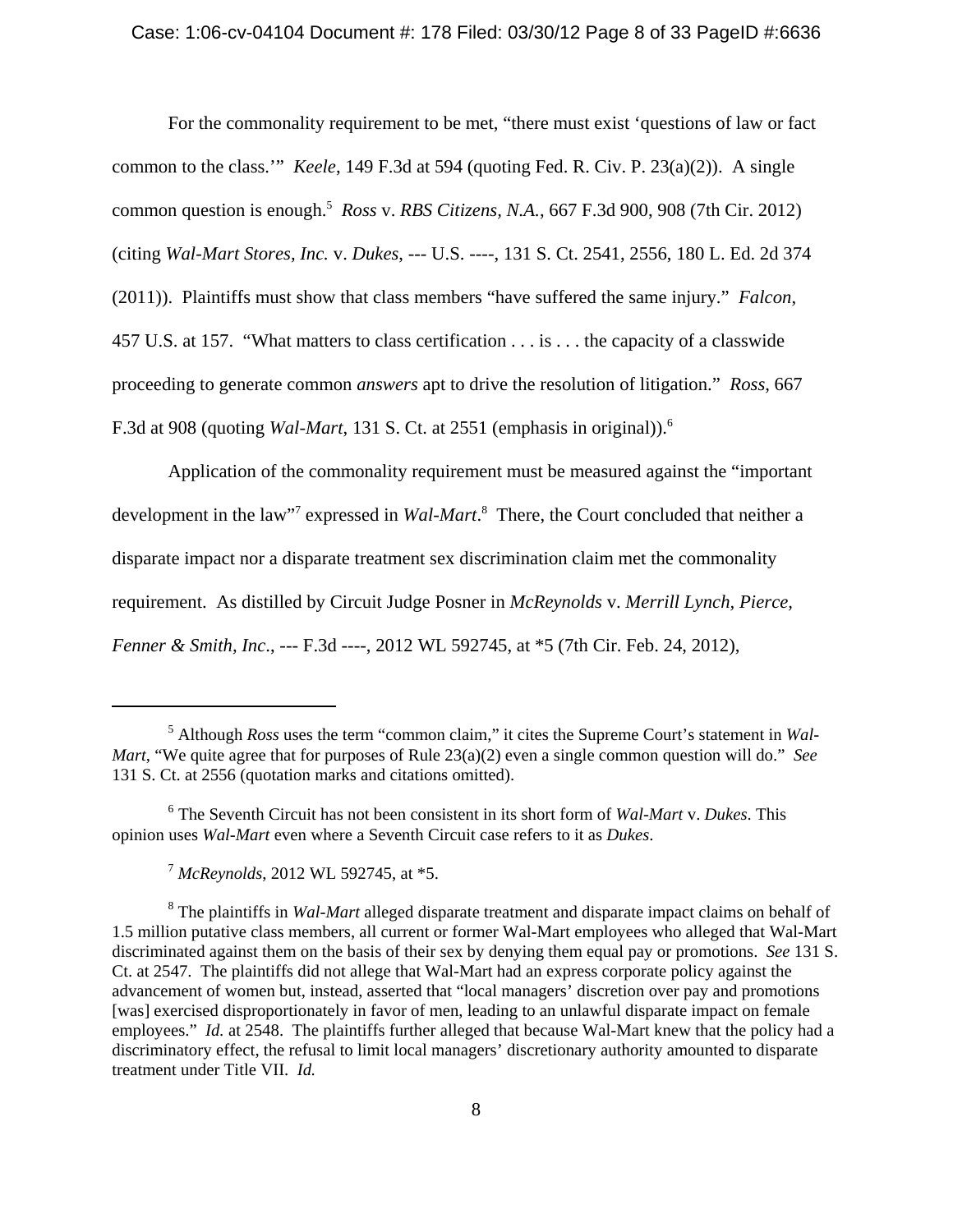## Case: 1:06-cv-04104 Document #: 178 Filed: 03/30/12 Page 8 of 33 PageID #:6636

For the commonality requirement to be met, "there must exist 'questions of law or fact common to the class.'" *Keele*, 149 F.3d at 594 (quoting Fed. R. Civ. P. 23(a)(2)). A single common question is enough.5 *Ross* v. *RBS Citizens, N.A.*, 667 F.3d 900, 908 (7th Cir. 2012) (citing *Wal-Mart Stores, Inc.* v. *Dukes*, --- U.S. ----, 131 S. Ct. 2541, 2556, 180 L. Ed. 2d 374 (2011)). Plaintiffs must show that class members "have suffered the same injury." *Falcon*, 457 U.S. at 157. "What matters to class certification . . . is . . . the capacity of a classwide proceeding to generate common *answers* apt to drive the resolution of litigation." *Ross*, 667 F.3d at 908 (quoting *Wal-Mart*, 131 S. Ct. at 2551 (emphasis in original)).6

Application of the commonality requirement must be measured against the "important development in the law<sup>17</sup> expressed in *Wal-Mart*.<sup>8</sup> There, the Court concluded that neither a disparate impact nor a disparate treatment sex discrimination claim met the commonality requirement. As distilled by Circuit Judge Posner in *McReynolds* v. *Merrill Lynch, Pierce, Fenner & Smith, Inc*., --- F.3d ----, 2012 WL 592745, at \*5 (7th Cir. Feb. 24, 2012),

<sup>&</sup>lt;sup>5</sup> Although *Ross* uses the term "common claim," it cites the Supreme Court's statement in *Wal*-*Mart*, "We quite agree that for purposes of Rule 23(a)(2) even a single common question will do." *See* 131 S. Ct. at 2556 (quotation marks and citations omitted).

<sup>6</sup> The Seventh Circuit has not been consistent in its short form of *Wal-Mart* v. *Dukes*. This opinion uses *Wal-Mart* even where a Seventh Circuit case refers to it as *Dukes*.

<sup>7</sup>  *McReynolds*, 2012 WL 592745, at \*5.

<sup>8</sup> The plaintiffs in *Wal-Mart* alleged disparate treatment and disparate impact claims on behalf of 1.5 million putative class members, all current or former Wal-Mart employees who alleged that Wal-Mart discriminated against them on the basis of their sex by denying them equal pay or promotions. *See* 131 S. Ct. at 2547. The plaintiffs did not allege that Wal-Mart had an express corporate policy against the advancement of women but, instead, asserted that "local managers' discretion over pay and promotions [was] exercised disproportionately in favor of men, leading to an unlawful disparate impact on female employees." *Id.* at 2548. The plaintiffs further alleged that because Wal-Mart knew that the policy had a discriminatory effect, the refusal to limit local managers' discretionary authority amounted to disparate treatment under Title VII. *Id.*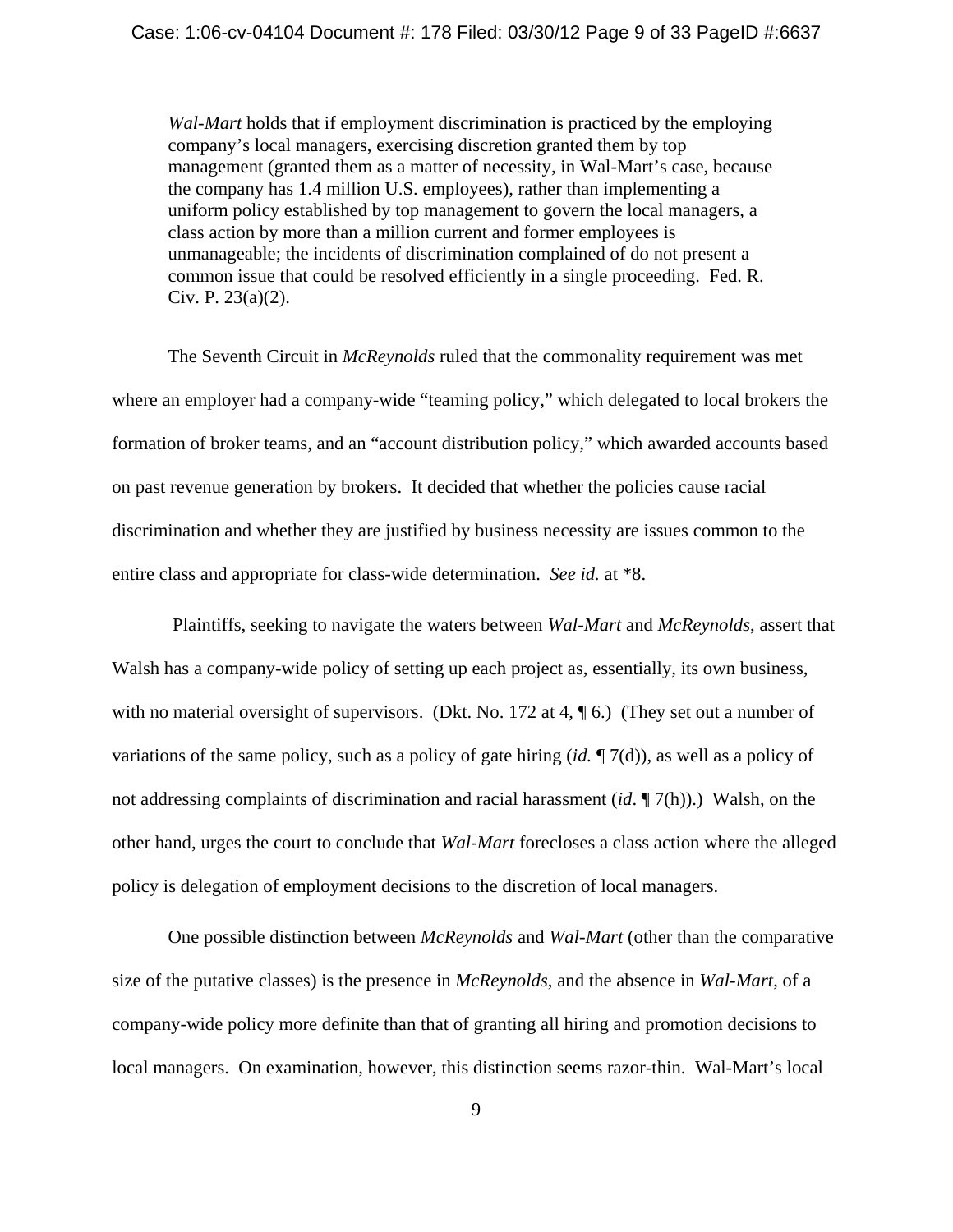*Wal-Mart* holds that if employment discrimination is practiced by the employing company's local managers, exercising discretion granted them by top management (granted them as a matter of necessity, in Wal-Mart's case, because the company has 1.4 million U.S. employees), rather than implementing a uniform policy established by top management to govern the local managers, a class action by more than a million current and former employees is unmanageable; the incidents of discrimination complained of do not present a common issue that could be resolved efficiently in a single proceeding. Fed. R. Civ. P. 23(a)(2).

The Seventh Circuit in *McReynolds* ruled that the commonality requirement was met where an employer had a company-wide "teaming policy," which delegated to local brokers the formation of broker teams, and an "account distribution policy," which awarded accounts based on past revenue generation by brokers. It decided that whether the policies cause racial discrimination and whether they are justified by business necessity are issues common to the entire class and appropriate for class-wide determination. *See id.* at \*8.

 Plaintiffs, seeking to navigate the waters between *Wal-Mart* and *McReynolds*, assert that Walsh has a company-wide policy of setting up each project as, essentially, its own business, with no material oversight of supervisors. (Dkt. No. 172 at 4,  $\P$  6.) (They set out a number of variations of the same policy, such as a policy of gate hiring (*id.* ¶ 7(d)), as well as a policy of not addressing complaints of discrimination and racial harassment (*id*. ¶ 7(h)).) Walsh, on the other hand, urges the court to conclude that *Wal-Mart* forecloses a class action where the alleged policy is delegation of employment decisions to the discretion of local managers.

One possible distinction between *McReynolds* and *Wal-Mart* (other than the comparative size of the putative classes) is the presence in *McReynolds*, and the absence in *Wal-Mart*, of a company-wide policy more definite than that of granting all hiring and promotion decisions to local managers. On examination, however, this distinction seems razor-thin. Wal-Mart's local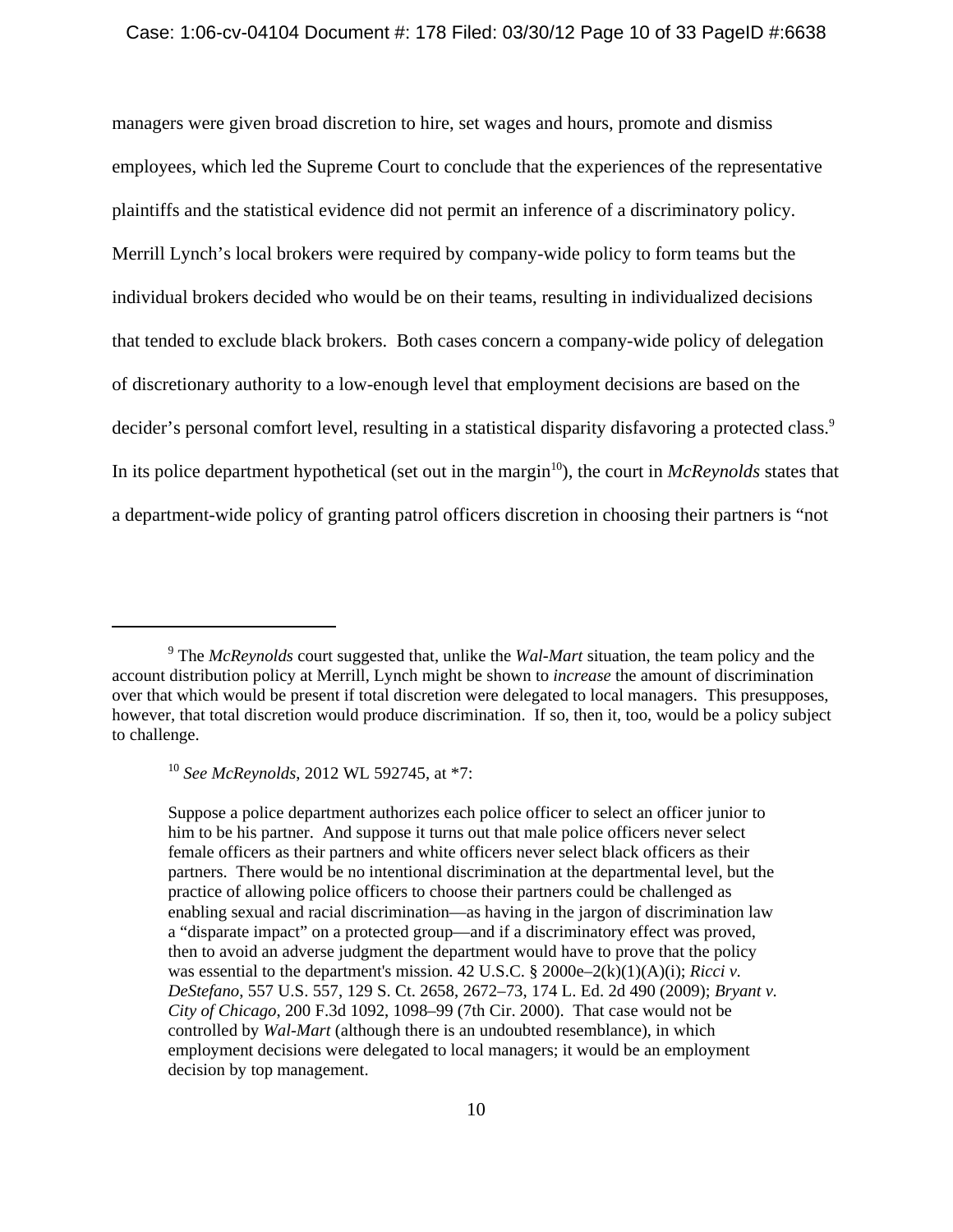#### Case: 1:06-cv-04104 Document #: 178 Filed: 03/30/12 Page 10 of 33 PageID #:6638

managers were given broad discretion to hire, set wages and hours, promote and dismiss employees, which led the Supreme Court to conclude that the experiences of the representative plaintiffs and the statistical evidence did not permit an inference of a discriminatory policy. Merrill Lynch's local brokers were required by company-wide policy to form teams but the individual brokers decided who would be on their teams, resulting in individualized decisions that tended to exclude black brokers. Both cases concern a company-wide policy of delegation of discretionary authority to a low-enough level that employment decisions are based on the decider's personal comfort level, resulting in a statistical disparity disfavoring a protected class.<sup>9</sup> In its police department hypothetical (set out in the margin<sup>10</sup>), the court in *McReynolds* states that a department-wide policy of granting patrol officers discretion in choosing their partners is "not

Suppose a police department authorizes each police officer to select an officer junior to him to be his partner. And suppose it turns out that male police officers never select female officers as their partners and white officers never select black officers as their partners. There would be no intentional discrimination at the departmental level, but the practice of allowing police officers to choose their partners could be challenged as enabling sexual and racial discrimination—as having in the jargon of discrimination law a "disparate impact" on a protected group—and if a discriminatory effect was proved, then to avoid an adverse judgment the department would have to prove that the policy was essential to the department's mission. 42 U.S.C. § 2000e–2(k)(1)(A)(i); *Ricci v. DeStefano*, 557 U.S. 557, 129 S. Ct. 2658, 2672–73, 174 L. Ed. 2d 490 (2009); *Bryant v. City of Chicago*, 200 F.3d 1092, 1098–99 (7th Cir. 2000). That case would not be controlled by *Wal-Mart* (although there is an undoubted resemblance), in which employment decisions were delegated to local managers; it would be an employment decision by top management.

<sup>9</sup> The *McReynolds* court suggested that, unlike the *Wal-Mart* situation, the team policy and the account distribution policy at Merrill, Lynch might be shown to *increase* the amount of discrimination over that which would be present if total discretion were delegated to local managers. This presupposes, however, that total discretion would produce discrimination. If so, then it, too, would be a policy subject to challenge.

<sup>10</sup> *See McReynolds*, 2012 WL 592745, at \*7: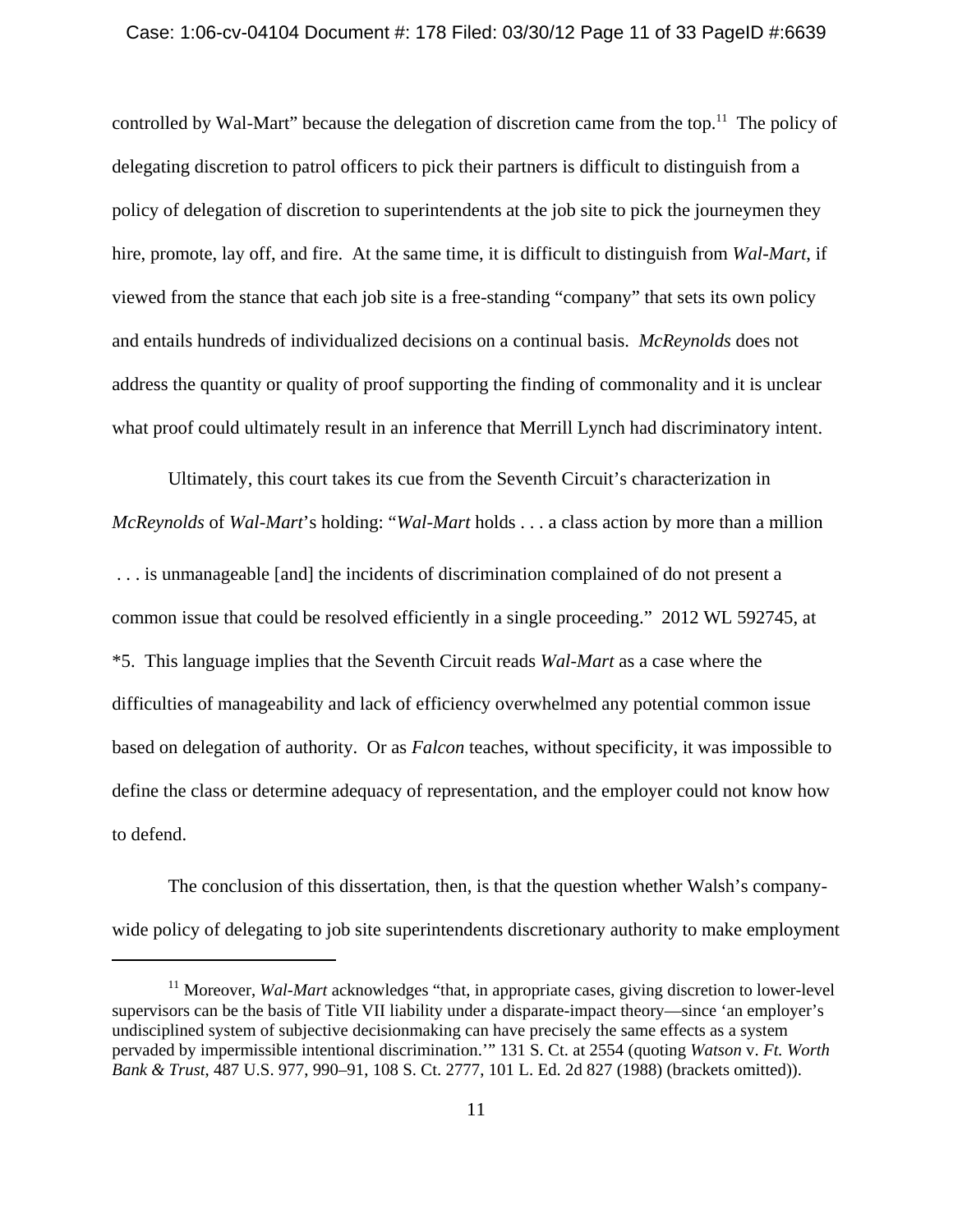#### Case: 1:06-cv-04104 Document #: 178 Filed: 03/30/12 Page 11 of 33 PageID #:6639

controlled by Wal-Mart" because the delegation of discretion came from the top.<sup>11</sup> The policy of delegating discretion to patrol officers to pick their partners is difficult to distinguish from a policy of delegation of discretion to superintendents at the job site to pick the journeymen they hire, promote, lay off, and fire. At the same time, it is difficult to distinguish from *Wal-Mart*, if viewed from the stance that each job site is a free-standing "company" that sets its own policy and entails hundreds of individualized decisions on a continual basis. *McReynolds* does not address the quantity or quality of proof supporting the finding of commonality and it is unclear what proof could ultimately result in an inference that Merrill Lynch had discriminatory intent.

Ultimately, this court takes its cue from the Seventh Circuit's characterization in *McReynolds* of *Wal-Mart*'s holding: "*Wal-Mart* holds . . . a class action by more than a million . . . is unmanageable [and] the incidents of discrimination complained of do not present a common issue that could be resolved efficiently in a single proceeding." 2012 WL 592745, at \*5. This language implies that the Seventh Circuit reads *Wal-Mart* as a case where the difficulties of manageability and lack of efficiency overwhelmed any potential common issue based on delegation of authority. Or as *Falcon* teaches, without specificity, it was impossible to define the class or determine adequacy of representation, and the employer could not know how to defend.

The conclusion of this dissertation, then, is that the question whether Walsh's companywide policy of delegating to job site superintendents discretionary authority to make employment

<sup>&</sup>lt;sup>11</sup> Moreover, *Wal-Mart* acknowledges "that, in appropriate cases, giving discretion to lower-level supervisors can be the basis of Title VII liability under a disparate-impact theory—since 'an employer's undisciplined system of subjective decisionmaking can have precisely the same effects as a system pervaded by impermissible intentional discrimination.'" 131 S. Ct. at 2554 (quoting *Watson* v. *Ft. Worth Bank & Trust*, 487 U.S. 977, 990–91, 108 S. Ct. 2777, 101 L. Ed. 2d 827 (1988) (brackets omitted)).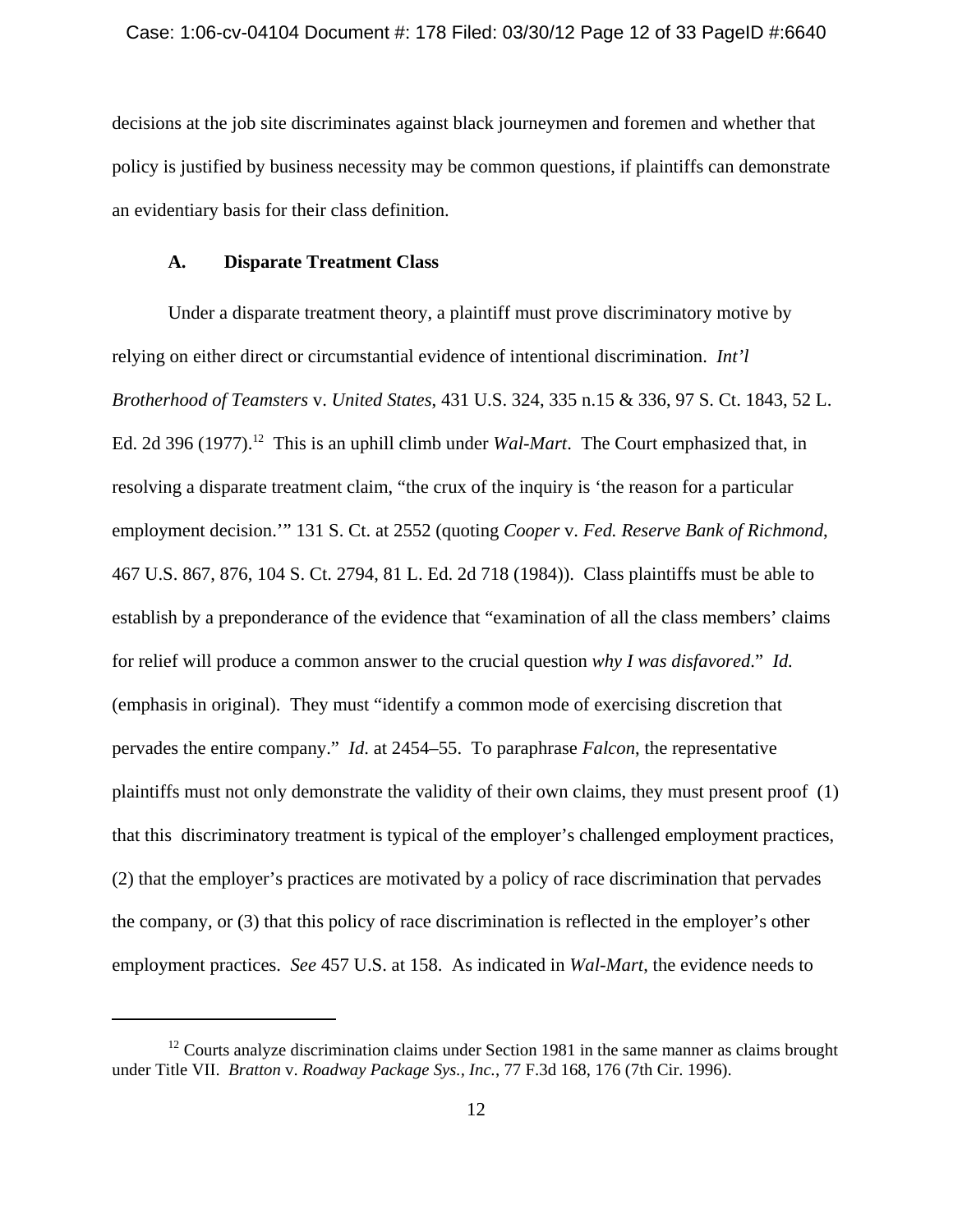decisions at the job site discriminates against black journeymen and foremen and whether that policy is justified by business necessity may be common questions, if plaintiffs can demonstrate an evidentiary basis for their class definition.

## **A. Disparate Treatment Class**

 Under a disparate treatment theory, a plaintiff must prove discriminatory motive by relying on either direct or circumstantial evidence of intentional discrimination. *Int'l Brotherhood of Teamsters* v. *United States*, 431 U.S. 324, 335 n.15 & 336, 97 S. Ct. 1843, 52 L. Ed. 2d 396 (1977).<sup>12</sup> This is an uphill climb under *Wal-Mart*. The Court emphasized that, in resolving a disparate treatment claim, "the crux of the inquiry is 'the reason for a particular employment decision.'" 131 S. Ct. at 2552 (quoting *Cooper* v. *Fed. Reserve Bank of Richmond*, 467 U.S. 867, 876, 104 S. Ct. 2794, 81 L. Ed. 2d 718 (1984)). Class plaintiffs must be able to establish by a preponderance of the evidence that "examination of all the class members' claims for relief will produce a common answer to the crucial question *why I was disfavored*." *Id.* (emphasis in original). They must "identify a common mode of exercising discretion that pervades the entire company." *Id*. at 2454–55. To paraphrase *Falcon*, the representative plaintiffs must not only demonstrate the validity of their own claims, they must present proof (1) that this discriminatory treatment is typical of the employer's challenged employment practices, (2) that the employer's practices are motivated by a policy of race discrimination that pervades the company, or (3) that this policy of race discrimination is reflected in the employer's other employment practices. *See* 457 U.S. at 158. As indicated in *Wal-Mart*, the evidence needs to

 $12$  Courts analyze discrimination claims under Section 1981 in the same manner as claims brought under Title VII. *Bratton* v. *Roadway Package Sys., Inc.*, 77 F.3d 168, 176 (7th Cir. 1996).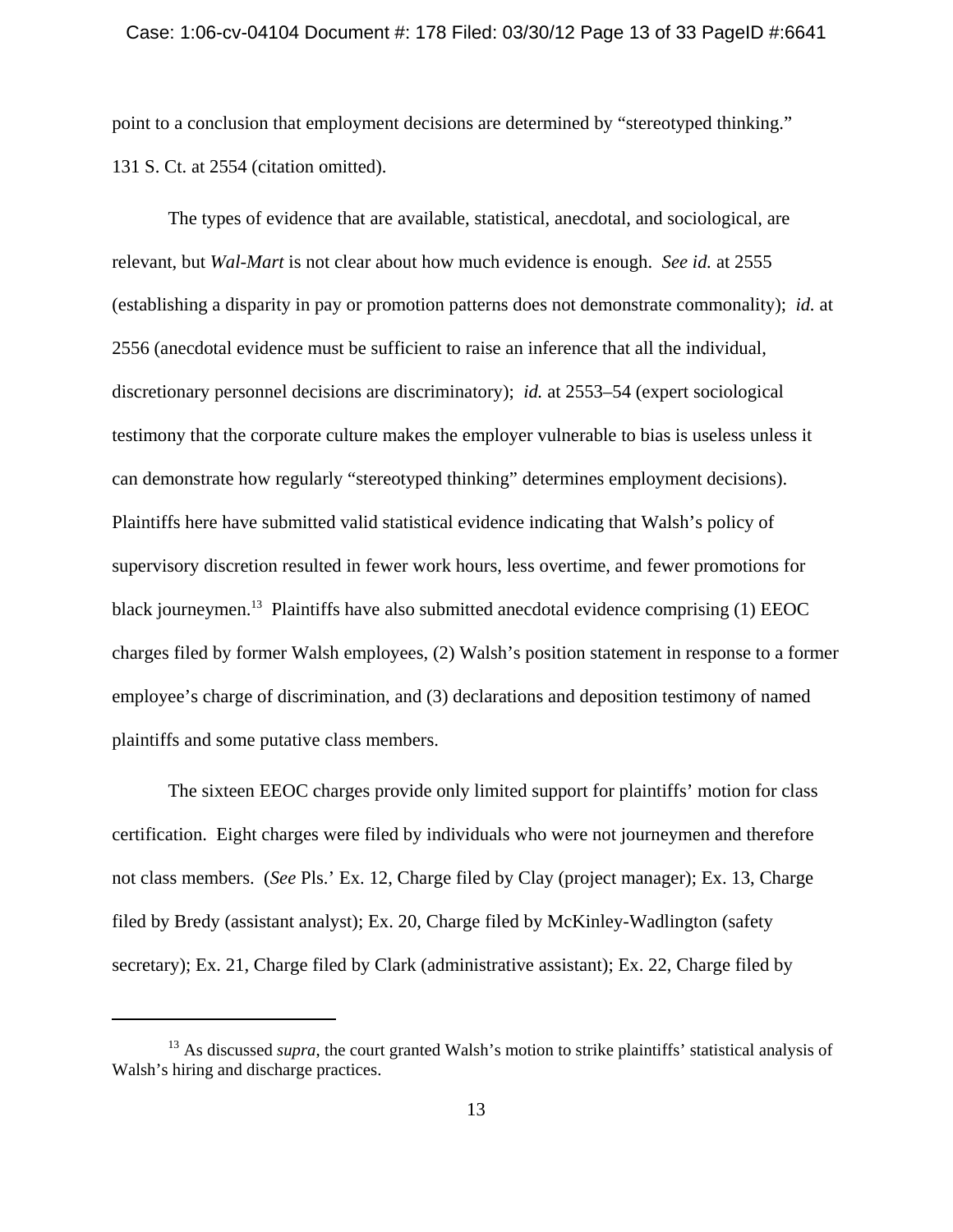#### Case: 1:06-cv-04104 Document #: 178 Filed: 03/30/12 Page 13 of 33 PageID #:6641

point to a conclusion that employment decisions are determined by "stereotyped thinking." 131 S. Ct. at 2554 (citation omitted).

The types of evidence that are available, statistical, anecdotal, and sociological, are relevant, but *Wal-Mart* is not clear about how much evidence is enough. *See id.* at 2555 (establishing a disparity in pay or promotion patterns does not demonstrate commonality); *id.* at 2556 (anecdotal evidence must be sufficient to raise an inference that all the individual, discretionary personnel decisions are discriminatory); *id.* at 2553–54 (expert sociological testimony that the corporate culture makes the employer vulnerable to bias is useless unless it can demonstrate how regularly "stereotyped thinking" determines employment decisions). Plaintiffs here have submitted valid statistical evidence indicating that Walsh's policy of supervisory discretion resulted in fewer work hours, less overtime, and fewer promotions for black journeymen.<sup>13</sup> Plaintiffs have also submitted anecdotal evidence comprising (1) EEOC charges filed by former Walsh employees, (2) Walsh's position statement in response to a former employee's charge of discrimination, and (3) declarations and deposition testimony of named plaintiffs and some putative class members.

The sixteen EEOC charges provide only limited support for plaintiffs' motion for class certification. Eight charges were filed by individuals who were not journeymen and therefore not class members. (*See* Pls.' Ex. 12, Charge filed by Clay (project manager); Ex. 13, Charge filed by Bredy (assistant analyst); Ex. 20, Charge filed by McKinley-Wadlington (safety secretary); Ex. 21, Charge filed by Clark (administrative assistant); Ex. 22, Charge filed by

<sup>&</sup>lt;sup>13</sup> As discussed *supra*, the court granted Walsh's motion to strike plaintiffs' statistical analysis of Walsh's hiring and discharge practices.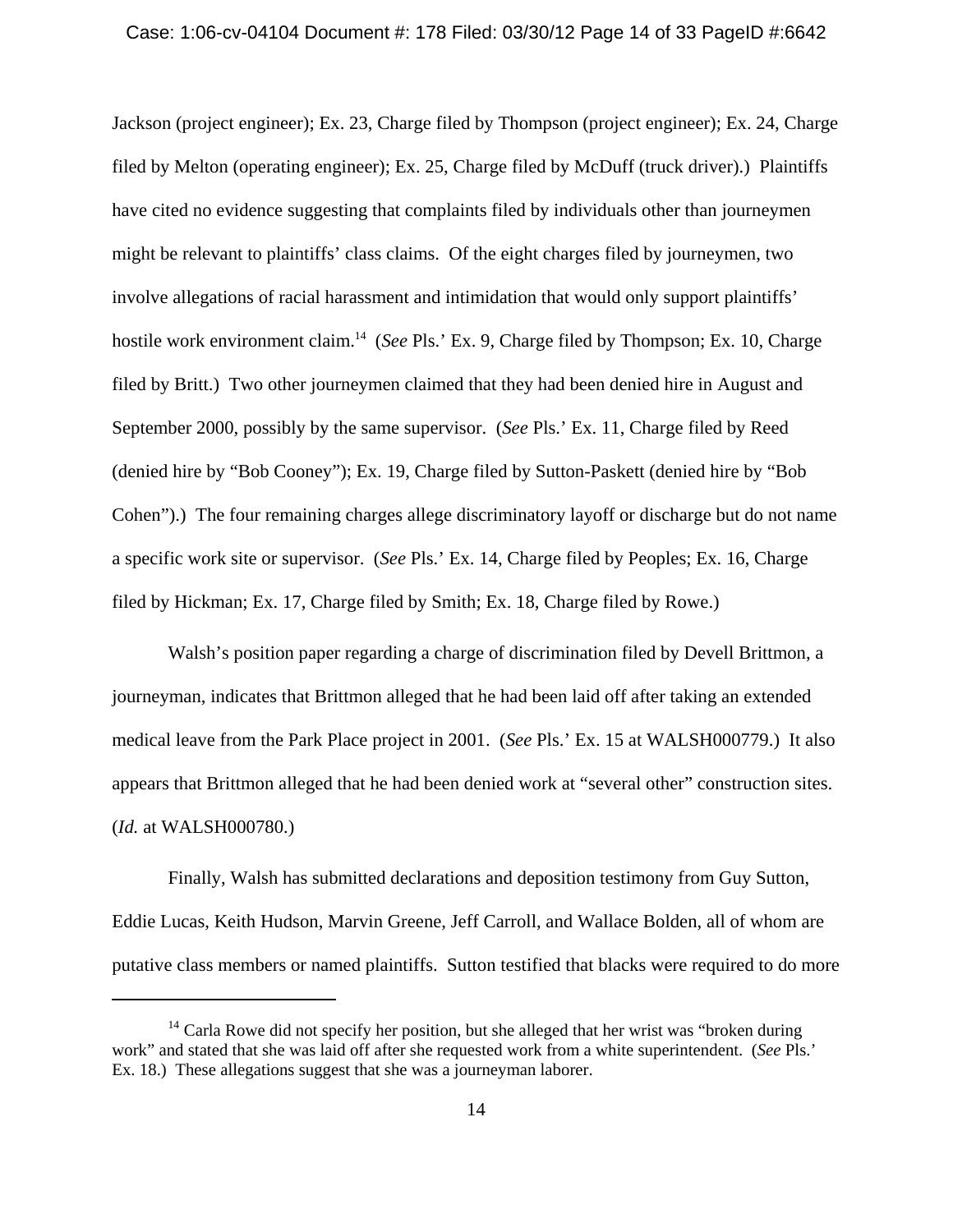#### Case: 1:06-cv-04104 Document #: 178 Filed: 03/30/12 Page 14 of 33 PageID #:6642

Jackson (project engineer); Ex. 23, Charge filed by Thompson (project engineer); Ex. 24, Charge filed by Melton (operating engineer); Ex. 25, Charge filed by McDuff (truck driver).) Plaintiffs have cited no evidence suggesting that complaints filed by individuals other than journeymen might be relevant to plaintiffs' class claims. Of the eight charges filed by journeymen, two involve allegations of racial harassment and intimidation that would only support plaintiffs' hostile work environment claim.<sup>14</sup> (*See* Pls.' Ex. 9, Charge filed by Thompson; Ex. 10, Charge filed by Britt.) Two other journeymen claimed that they had been denied hire in August and September 2000, possibly by the same supervisor. (*See* Pls.' Ex. 11, Charge filed by Reed (denied hire by "Bob Cooney"); Ex. 19, Charge filed by Sutton-Paskett (denied hire by "Bob Cohen").) The four remaining charges allege discriminatory layoff or discharge but do not name a specific work site or supervisor. (*See* Pls.' Ex. 14, Charge filed by Peoples; Ex. 16, Charge filed by Hickman; Ex. 17, Charge filed by Smith; Ex. 18, Charge filed by Rowe.)

Walsh's position paper regarding a charge of discrimination filed by Devell Brittmon, a journeyman, indicates that Brittmon alleged that he had been laid off after taking an extended medical leave from the Park Place project in 2001. (*See* Pls.' Ex. 15 at WALSH000779.) It also appears that Brittmon alleged that he had been denied work at "several other" construction sites. (*Id.* at WALSH000780.)

Finally, Walsh has submitted declarations and deposition testimony from Guy Sutton, Eddie Lucas, Keith Hudson, Marvin Greene, Jeff Carroll, and Wallace Bolden, all of whom are putative class members or named plaintiffs. Sutton testified that blacks were required to do more

 $14$  Carla Rowe did not specify her position, but she alleged that her wrist was "broken during work" and stated that she was laid off after she requested work from a white superintendent. (*See* Pls.' Ex. 18.) These allegations suggest that she was a journeyman laborer.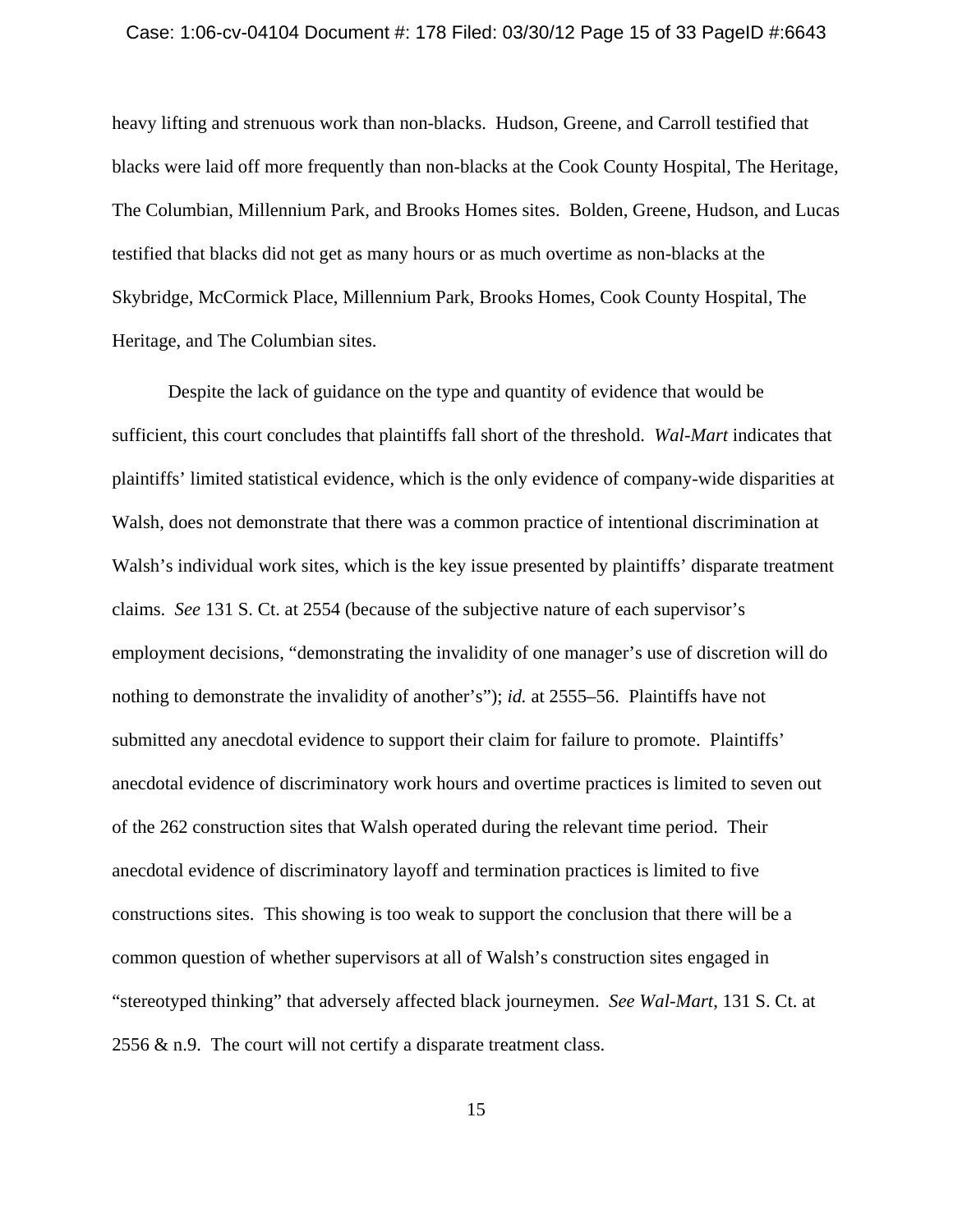#### Case: 1:06-cv-04104 Document #: 178 Filed: 03/30/12 Page 15 of 33 PageID #:6643

heavy lifting and strenuous work than non-blacks. Hudson, Greene, and Carroll testified that blacks were laid off more frequently than non-blacks at the Cook County Hospital, The Heritage, The Columbian, Millennium Park, and Brooks Homes sites. Bolden, Greene, Hudson, and Lucas testified that blacks did not get as many hours or as much overtime as non-blacks at the Skybridge, McCormick Place, Millennium Park, Brooks Homes, Cook County Hospital, The Heritage, and The Columbian sites.

Despite the lack of guidance on the type and quantity of evidence that would be sufficient, this court concludes that plaintiffs fall short of the threshold. *Wal-Mart* indicates that plaintiffs' limited statistical evidence, which is the only evidence of company-wide disparities at Walsh, does not demonstrate that there was a common practice of intentional discrimination at Walsh's individual work sites, which is the key issue presented by plaintiffs' disparate treatment claims. *See* 131 S. Ct. at 2554 (because of the subjective nature of each supervisor's employment decisions, "demonstrating the invalidity of one manager's use of discretion will do nothing to demonstrate the invalidity of another's"); *id.* at 2555–56. Plaintiffs have not submitted any anecdotal evidence to support their claim for failure to promote. Plaintiffs' anecdotal evidence of discriminatory work hours and overtime practices is limited to seven out of the 262 construction sites that Walsh operated during the relevant time period. Their anecdotal evidence of discriminatory layoff and termination practices is limited to five constructions sites. This showing is too weak to support the conclusion that there will be a common question of whether supervisors at all of Walsh's construction sites engaged in "stereotyped thinking" that adversely affected black journeymen. *See Wal-Mart*, 131 S. Ct. at 2556  $\&$  n.9. The court will not certify a disparate treatment class.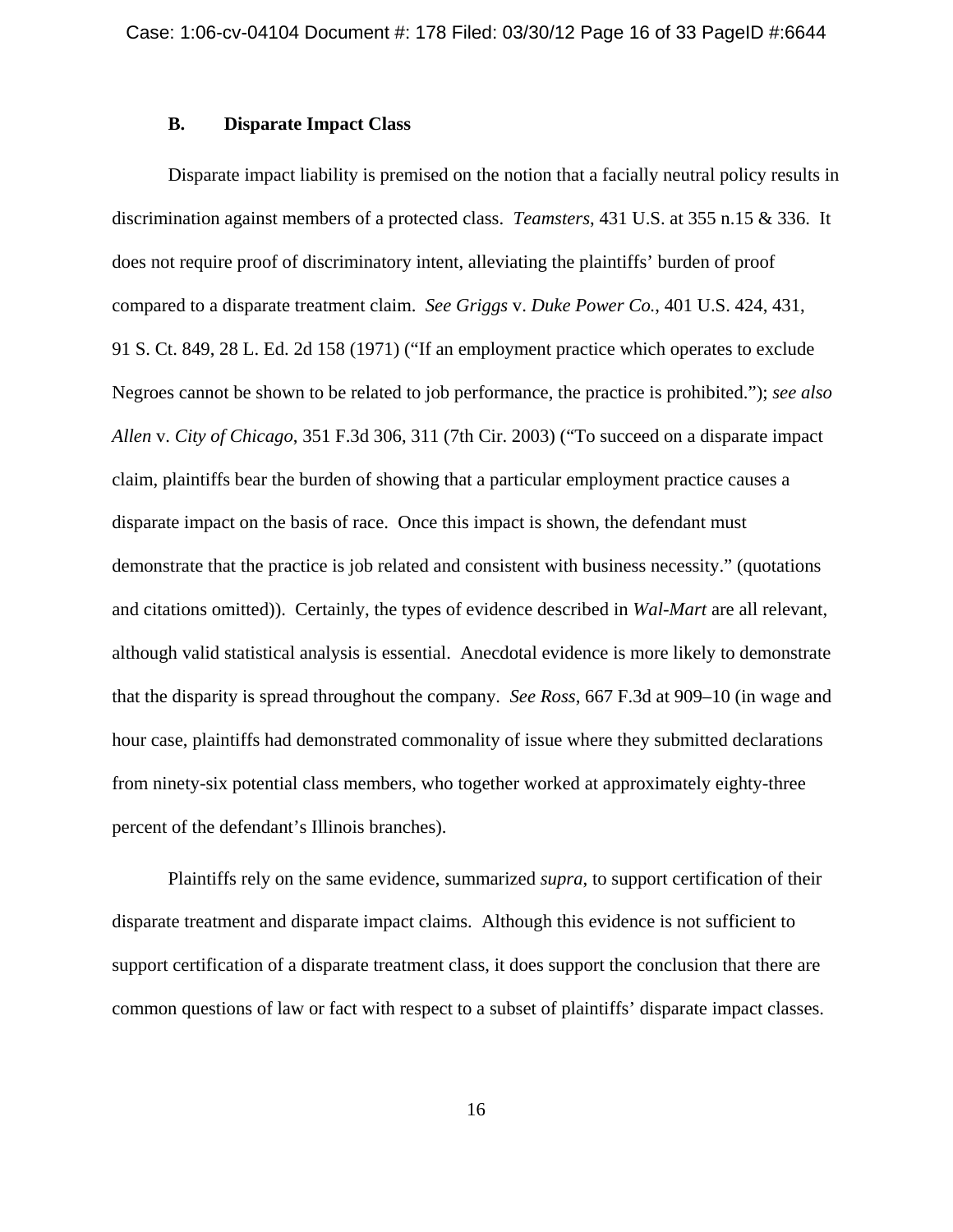# **B. Disparate Impact Class**

Disparate impact liability is premised on the notion that a facially neutral policy results in discrimination against members of a protected class. *Teamsters*, 431 U.S. at 355 n.15 & 336. It does not require proof of discriminatory intent, alleviating the plaintiffs' burden of proof compared to a disparate treatment claim. *See Griggs* v. *Duke Power Co.*, 401 U.S. 424, 431, 91 S. Ct. 849, 28 L. Ed. 2d 158 (1971) ("If an employment practice which operates to exclude Negroes cannot be shown to be related to job performance, the practice is prohibited."); *see also Allen* v. *City of Chicago*, 351 F.3d 306, 311 (7th Cir. 2003) ("To succeed on a disparate impact claim, plaintiffs bear the burden of showing that a particular employment practice causes a disparate impact on the basis of race. Once this impact is shown, the defendant must demonstrate that the practice is job related and consistent with business necessity." (quotations and citations omitted)). Certainly, the types of evidence described in *Wal-Mart* are all relevant, although valid statistical analysis is essential. Anecdotal evidence is more likely to demonstrate that the disparity is spread throughout the company. *See Ross*, 667 F.3d at 909–10 (in wage and hour case, plaintiffs had demonstrated commonality of issue where they submitted declarations from ninety-six potential class members, who together worked at approximately eighty-three percent of the defendant's Illinois branches).

Plaintiffs rely on the same evidence, summarized *supra*, to support certification of their disparate treatment and disparate impact claims. Although this evidence is not sufficient to support certification of a disparate treatment class, it does support the conclusion that there are common questions of law or fact with respect to a subset of plaintiffs' disparate impact classes.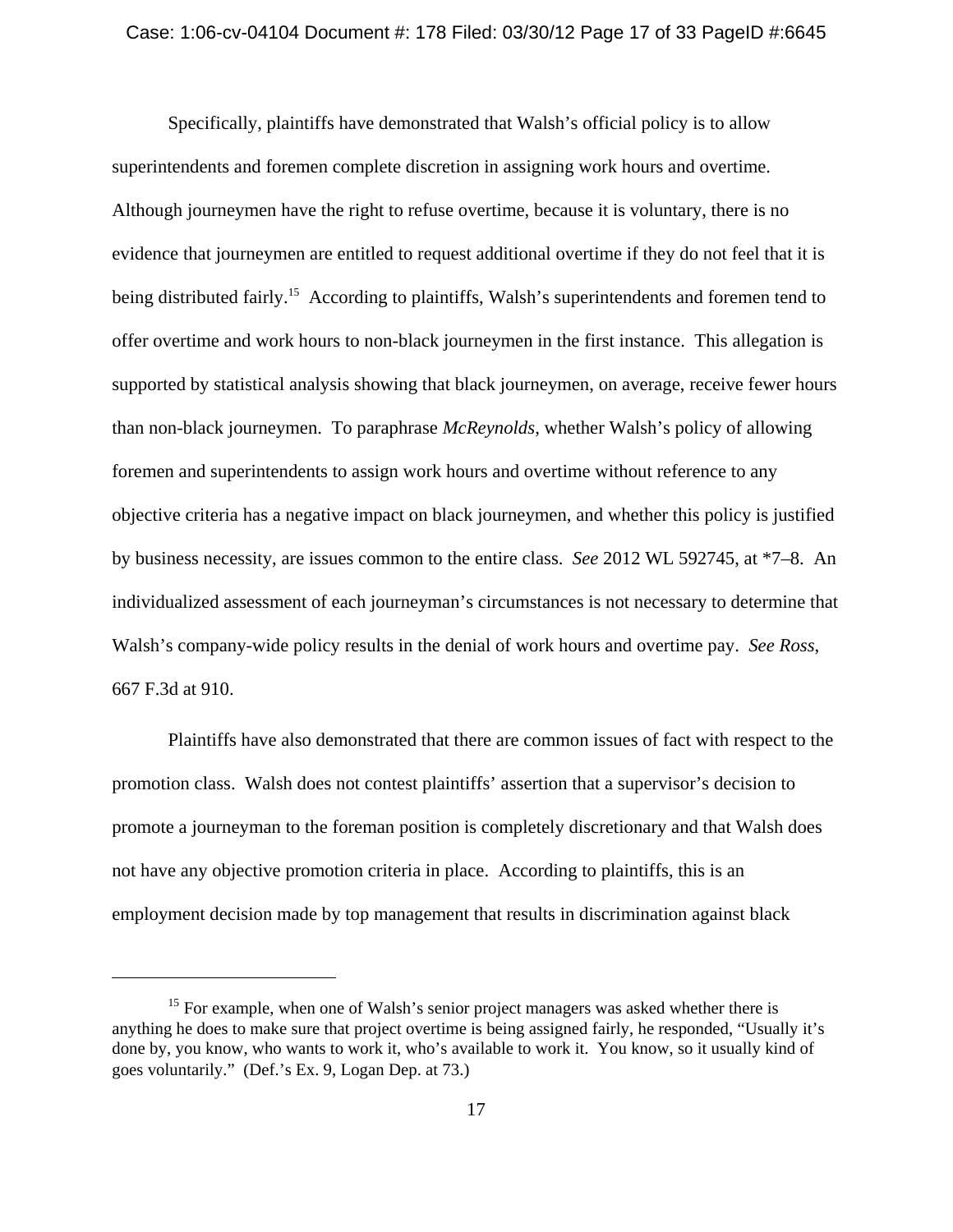#### Case: 1:06-cv-04104 Document #: 178 Filed: 03/30/12 Page 17 of 33 PageID #:6645

Specifically, plaintiffs have demonstrated that Walsh's official policy is to allow superintendents and foremen complete discretion in assigning work hours and overtime. Although journeymen have the right to refuse overtime, because it is voluntary, there is no evidence that journeymen are entitled to request additional overtime if they do not feel that it is being distributed fairly.<sup>15</sup> According to plaintiffs, Walsh's superintendents and foremen tend to offer overtime and work hours to non-black journeymen in the first instance. This allegation is supported by statistical analysis showing that black journeymen, on average, receive fewer hours than non-black journeymen. To paraphrase *McReynolds*, whether Walsh's policy of allowing foremen and superintendents to assign work hours and overtime without reference to any objective criteria has a negative impact on black journeymen, and whether this policy is justified by business necessity, are issues common to the entire class. *See* 2012 WL 592745, at \*7–8. An individualized assessment of each journeyman's circumstances is not necessary to determine that Walsh's company-wide policy results in the denial of work hours and overtime pay. *See Ross*, 667 F.3d at 910.

Plaintiffs have also demonstrated that there are common issues of fact with respect to the promotion class. Walsh does not contest plaintiffs' assertion that a supervisor's decision to promote a journeyman to the foreman position is completely discretionary and that Walsh does not have any objective promotion criteria in place. According to plaintiffs, this is an employment decision made by top management that results in discrimination against black

<sup>&</sup>lt;sup>15</sup> For example, when one of Walsh's senior project managers was asked whether there is anything he does to make sure that project overtime is being assigned fairly, he responded, "Usually it's done by, you know, who wants to work it, who's available to work it. You know, so it usually kind of goes voluntarily." (Def.'s Ex. 9, Logan Dep. at 73.)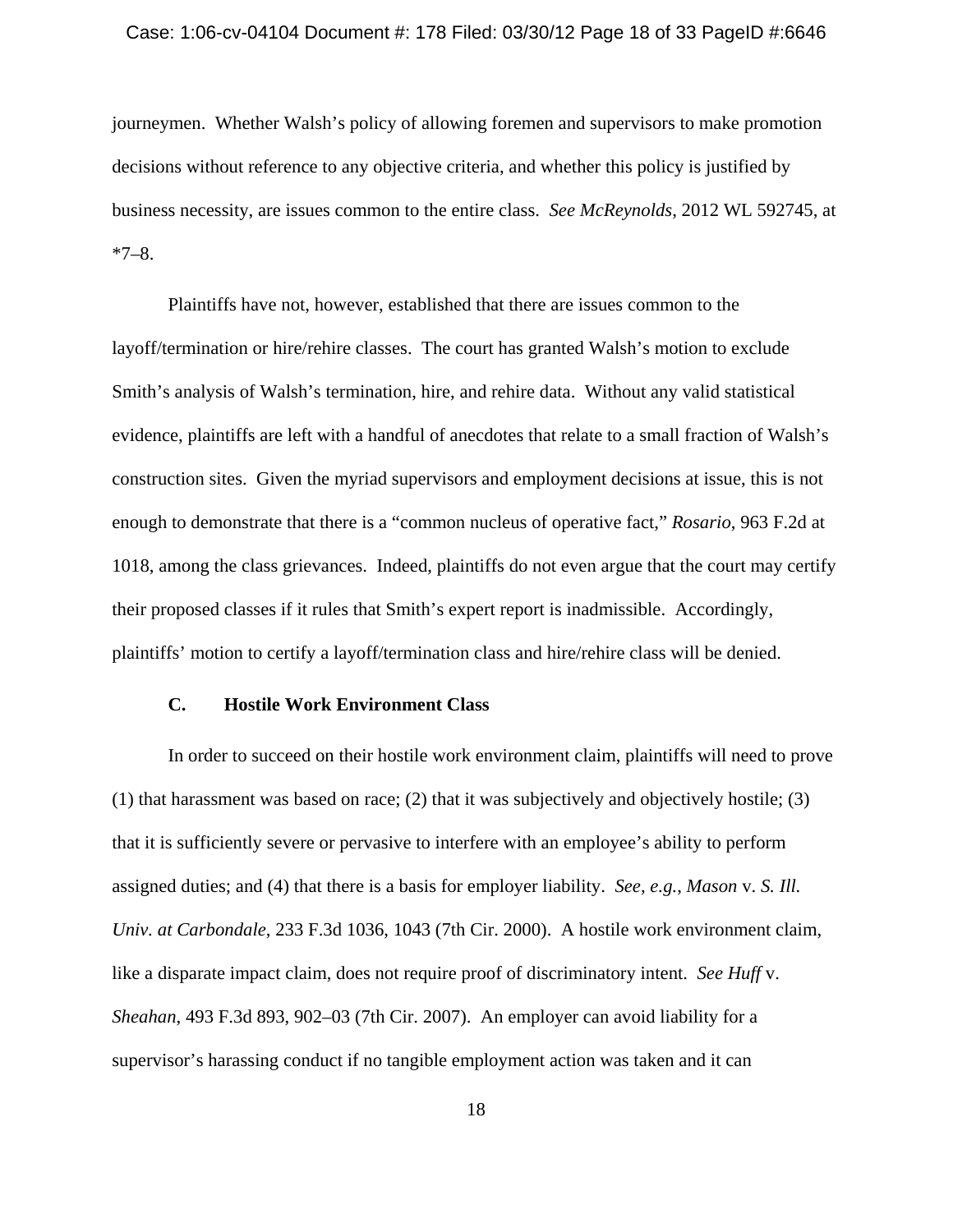#### Case: 1:06-cv-04104 Document #: 178 Filed: 03/30/12 Page 18 of 33 PageID #:6646

journeymen. Whether Walsh's policy of allowing foremen and supervisors to make promotion decisions without reference to any objective criteria, and whether this policy is justified by business necessity, are issues common to the entire class. *See McReynolds*, 2012 WL 592745, at  $*7-8.$ 

Plaintiffs have not, however, established that there are issues common to the layoff/termination or hire/rehire classes. The court has granted Walsh's motion to exclude Smith's analysis of Walsh's termination, hire, and rehire data. Without any valid statistical evidence, plaintiffs are left with a handful of anecdotes that relate to a small fraction of Walsh's construction sites. Given the myriad supervisors and employment decisions at issue, this is not enough to demonstrate that there is a "common nucleus of operative fact," *Rosario*, 963 F.2d at 1018, among the class grievances. Indeed, plaintiffs do not even argue that the court may certify their proposed classes if it rules that Smith's expert report is inadmissible. Accordingly, plaintiffs' motion to certify a layoff/termination class and hire/rehire class will be denied.

# **C. Hostile Work Environment Class**

In order to succeed on their hostile work environment claim, plaintiffs will need to prove (1) that harassment was based on race; (2) that it was subjectively and objectively hostile; (3) that it is sufficiently severe or pervasive to interfere with an employee's ability to perform assigned duties; and (4) that there is a basis for employer liability. *See, e.g.*, *Mason* v. *S. Ill. Univ. at Carbondale*, 233 F.3d 1036, 1043 (7th Cir. 2000). A hostile work environment claim, like a disparate impact claim, does not require proof of discriminatory intent. *See Huff* v. *Sheahan*, 493 F.3d 893, 902–03 (7th Cir. 2007). An employer can avoid liability for a supervisor's harassing conduct if no tangible employment action was taken and it can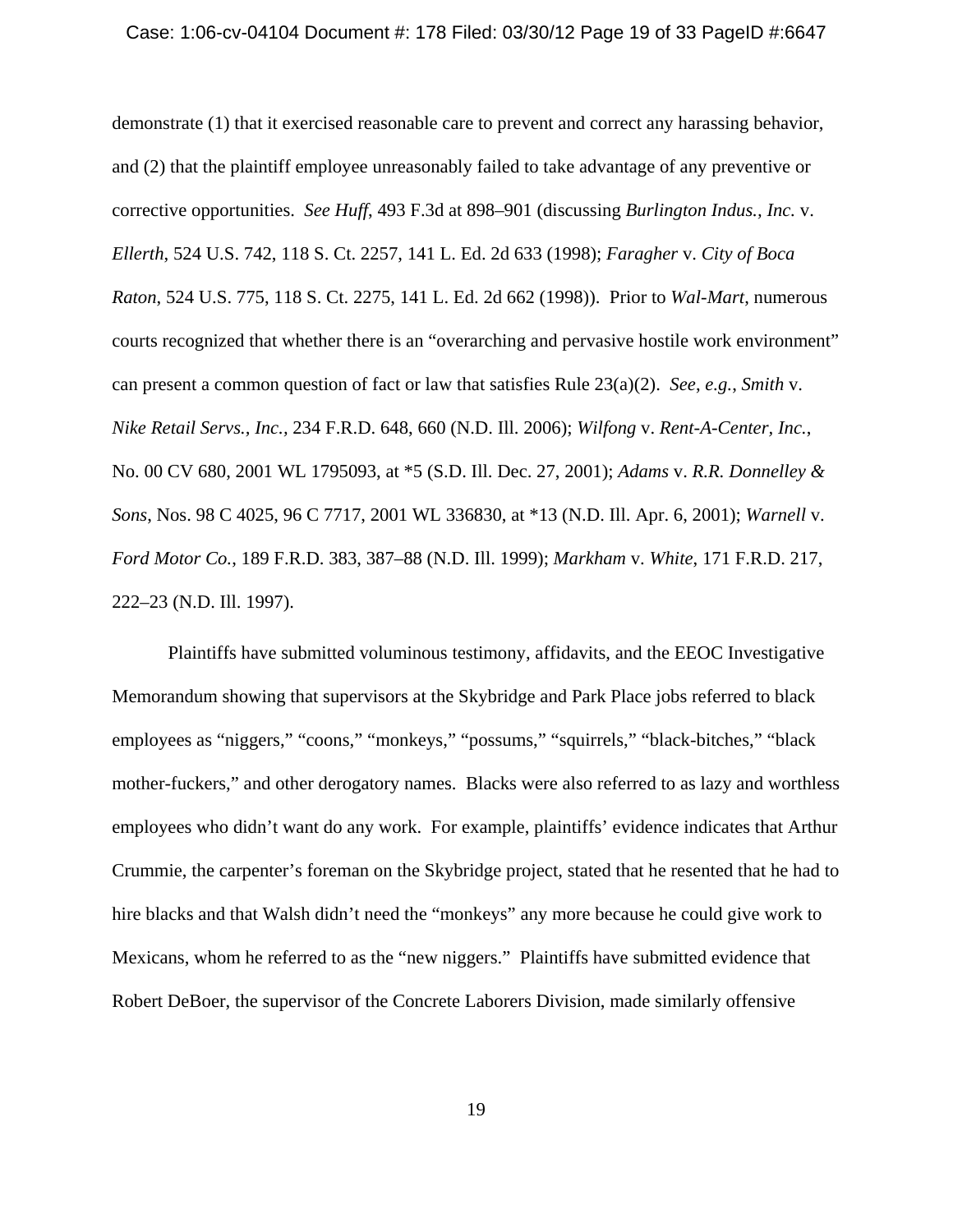#### Case: 1:06-cv-04104 Document #: 178 Filed: 03/30/12 Page 19 of 33 PageID #:6647

demonstrate (1) that it exercised reasonable care to prevent and correct any harassing behavior, and (2) that the plaintiff employee unreasonably failed to take advantage of any preventive or corrective opportunities. *See Huff*, 493 F.3d at 898–901 (discussing *Burlington Indus., Inc.* v. *Ellerth*, 524 U.S. 742, 118 S. Ct. 2257, 141 L. Ed. 2d 633 (1998); *Faragher* v. *City of Boca Raton*, 524 U.S. 775, 118 S. Ct. 2275, 141 L. Ed. 2d 662 (1998)). Prior to *Wal-Mart*, numerous courts recognized that whether there is an "overarching and pervasive hostile work environment" can present a common question of fact or law that satisfies Rule 23(a)(2). *See*, *e.g.*, *Smith* v. *Nike Retail Servs., Inc.,* 234 F.R.D. 648, 660 (N.D. Ill. 2006); *Wilfong* v. *Rent-A-Center, Inc.*, No. 00 CV 680, 2001 WL 1795093, at \*5 (S.D. Ill. Dec. 27, 2001); *Adams* v. *R.R. Donnelley & Sons*, Nos. 98 C 4025, 96 C 7717, 2001 WL 336830, at \*13 (N.D. Ill. Apr. 6, 2001); *Warnell* v. *Ford Motor Co.*, 189 F.R.D. 383, 387–88 (N.D. Ill. 1999); *Markham* v. *White*, 171 F.R.D. 217, 222–23 (N.D. Ill. 1997).

Plaintiffs have submitted voluminous testimony, affidavits, and the EEOC Investigative Memorandum showing that supervisors at the Skybridge and Park Place jobs referred to black employees as "niggers," "coons," "monkeys," "possums," "squirrels," "black-bitches," "black mother-fuckers," and other derogatory names. Blacks were also referred to as lazy and worthless employees who didn't want do any work. For example, plaintiffs' evidence indicates that Arthur Crummie, the carpenter's foreman on the Skybridge project, stated that he resented that he had to hire blacks and that Walsh didn't need the "monkeys" any more because he could give work to Mexicans, whom he referred to as the "new niggers." Plaintiffs have submitted evidence that Robert DeBoer, the supervisor of the Concrete Laborers Division, made similarly offensive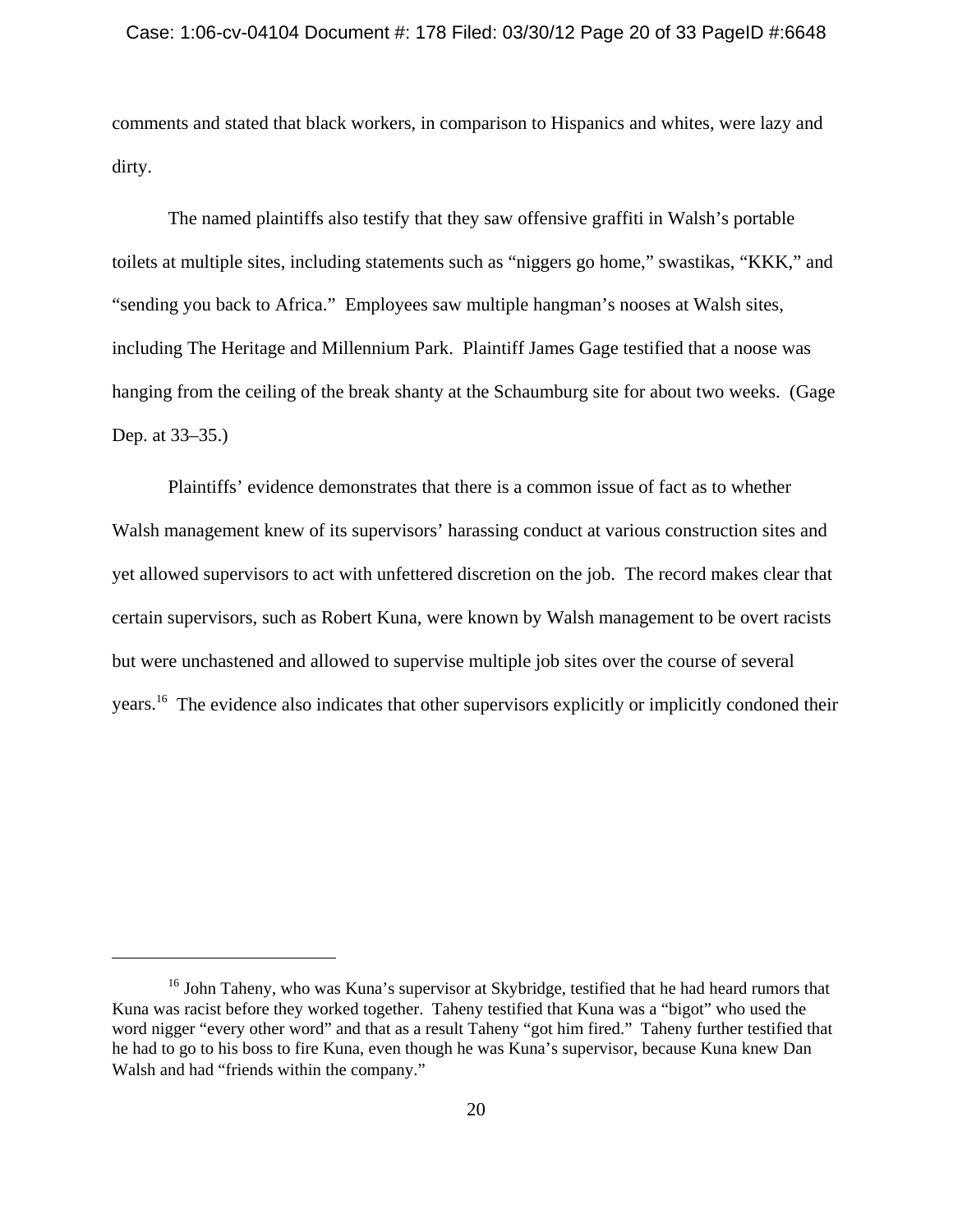comments and stated that black workers, in comparison to Hispanics and whites, were lazy and dirty.

The named plaintiffs also testify that they saw offensive graffiti in Walsh's portable toilets at multiple sites, including statements such as "niggers go home," swastikas, "KKK," and "sending you back to Africa." Employees saw multiple hangman's nooses at Walsh sites, including The Heritage and Millennium Park. Plaintiff James Gage testified that a noose was hanging from the ceiling of the break shanty at the Schaumburg site for about two weeks. (Gage Dep. at 33–35.)

Plaintiffs' evidence demonstrates that there is a common issue of fact as to whether Walsh management knew of its supervisors' harassing conduct at various construction sites and yet allowed supervisors to act with unfettered discretion on the job. The record makes clear that certain supervisors, such as Robert Kuna, were known by Walsh management to be overt racists but were unchastened and allowed to supervise multiple job sites over the course of several years.16 The evidence also indicates that other supervisors explicitly or implicitly condoned their

<sup>&</sup>lt;sup>16</sup> John Taheny, who was Kuna's supervisor at Skybridge, testified that he had heard rumors that Kuna was racist before they worked together. Taheny testified that Kuna was a "bigot" who used the word nigger "every other word" and that as a result Taheny "got him fired." Taheny further testified that he had to go to his boss to fire Kuna, even though he was Kuna's supervisor, because Kuna knew Dan Walsh and had "friends within the company."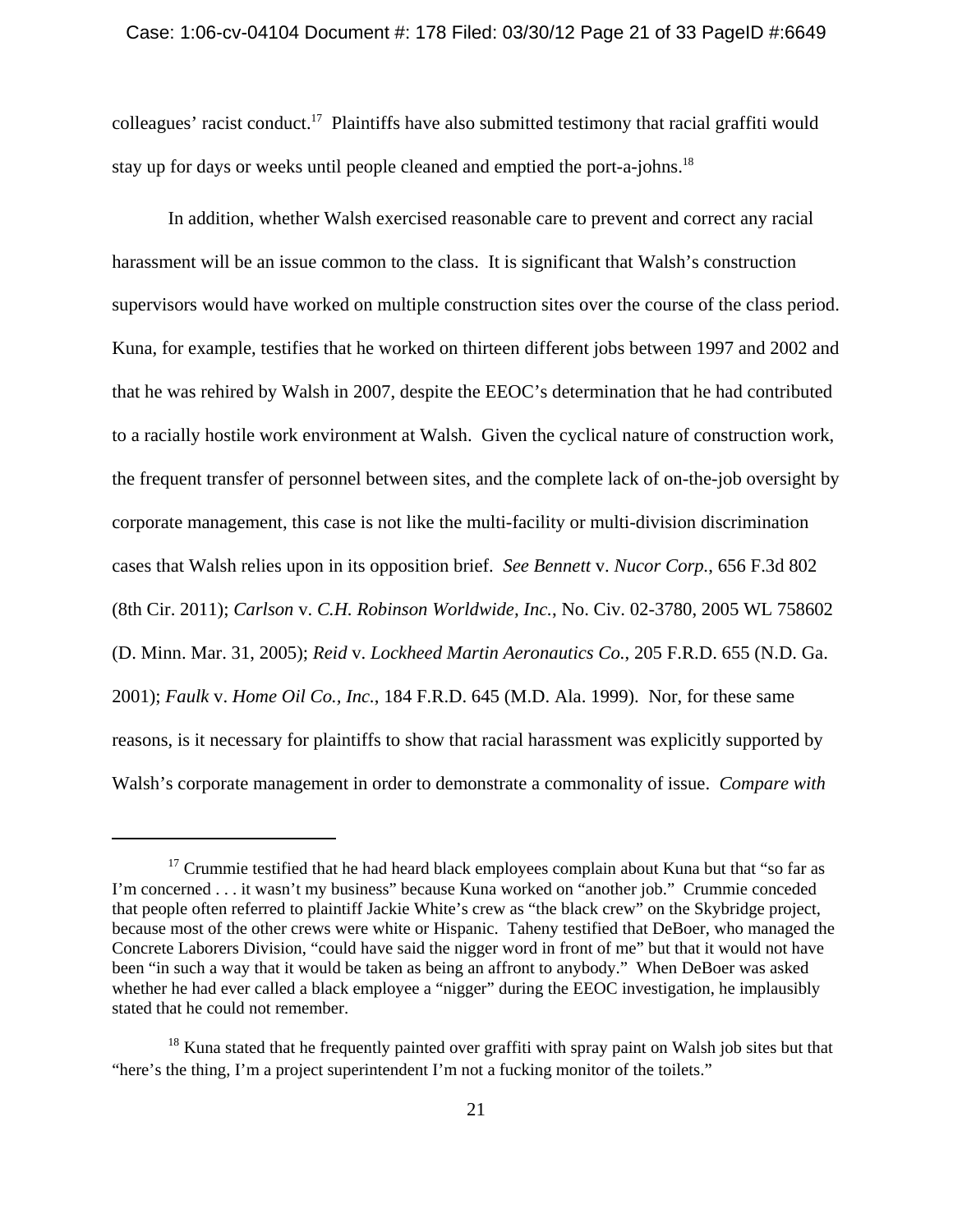### Case: 1:06-cv-04104 Document #: 178 Filed: 03/30/12 Page 21 of 33 PageID #:6649

colleagues' racist conduct.17 Plaintiffs have also submitted testimony that racial graffiti would stay up for days or weeks until people cleaned and emptied the port-a-johns.<sup>18</sup>

In addition, whether Walsh exercised reasonable care to prevent and correct any racial harassment will be an issue common to the class. It is significant that Walsh's construction supervisors would have worked on multiple construction sites over the course of the class period. Kuna, for example, testifies that he worked on thirteen different jobs between 1997 and 2002 and that he was rehired by Walsh in 2007, despite the EEOC's determination that he had contributed to a racially hostile work environment at Walsh. Given the cyclical nature of construction work, the frequent transfer of personnel between sites, and the complete lack of on-the-job oversight by corporate management, this case is not like the multi-facility or multi-division discrimination cases that Walsh relies upon in its opposition brief. *See Bennett* v. *Nucor Corp.*, 656 F.3d 802 (8th Cir. 2011); *Carlson* v. *C.H. Robinson Worldwide, Inc.*, No. Civ. 02-3780, 2005 WL 758602 (D. Minn. Mar. 31, 2005); *Reid* v. *Lockheed Martin Aeronautics Co.*, 205 F.R.D. 655 (N.D. Ga. 2001); *Faulk* v. *Home Oil Co., Inc.*, 184 F.R.D. 645 (M.D. Ala. 1999). Nor, for these same reasons, is it necessary for plaintiffs to show that racial harassment was explicitly supported by Walsh's corporate management in order to demonstrate a commonality of issue. *Compare with*

 $17$  Crummie testified that he had heard black employees complain about Kuna but that "so far as I'm concerned . . . it wasn't my business" because Kuna worked on "another job." Crummie conceded that people often referred to plaintiff Jackie White's crew as "the black crew" on the Skybridge project, because most of the other crews were white or Hispanic. Taheny testified that DeBoer, who managed the Concrete Laborers Division, "could have said the nigger word in front of me" but that it would not have been "in such a way that it would be taken as being an affront to anybody." When DeBoer was asked whether he had ever called a black employee a "nigger" during the EEOC investigation, he implausibly stated that he could not remember.

 $18$  Kuna stated that he frequently painted over graffiti with spray paint on Walsh job sites but that "here's the thing, I'm a project superintendent I'm not a fucking monitor of the toilets."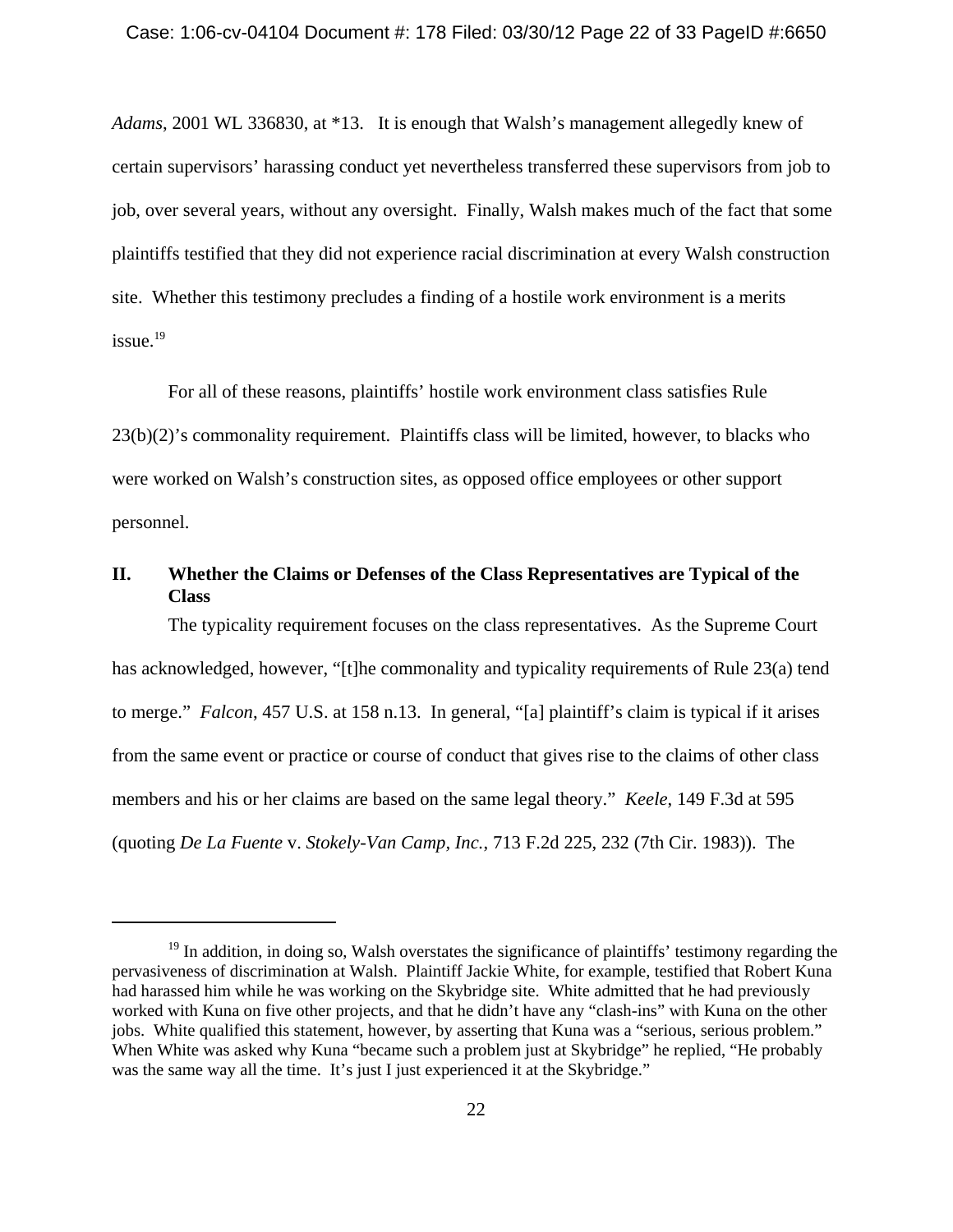*Adams*, 2001 WL 336830, at \*13. It is enough that Walsh's management allegedly knew of certain supervisors' harassing conduct yet nevertheless transferred these supervisors from job to job, over several years, without any oversight. Finally, Walsh makes much of the fact that some plaintiffs testified that they did not experience racial discrimination at every Walsh construction site. Whether this testimony precludes a finding of a hostile work environment is a merits  $i$ ssue.<sup>19</sup>

For all of these reasons, plaintiffs' hostile work environment class satisfies Rule 23(b)(2)'s commonality requirement. Plaintiffs class will be limited, however, to blacks who were worked on Walsh's construction sites, as opposed office employees or other support personnel.

# **II. Whether the Claims or Defenses of the Class Representatives are Typical of the Class**

The typicality requirement focuses on the class representatives. As the Supreme Court has acknowledged, however, "[t]he commonality and typicality requirements of Rule 23(a) tend to merge." *Falcon*, 457 U.S. at 158 n.13. In general, "[a] plaintiff's claim is typical if it arises from the same event or practice or course of conduct that gives rise to the claims of other class members and his or her claims are based on the same legal theory." *Keele*, 149 F.3d at 595 (quoting *De La Fuente* v. *Stokely-Van Camp, Inc.*, 713 F.2d 225, 232 (7th Cir. 1983)). The

 $19$  In addition, in doing so, Walsh overstates the significance of plaintiffs' testimony regarding the pervasiveness of discrimination at Walsh. Plaintiff Jackie White, for example, testified that Robert Kuna had harassed him while he was working on the Skybridge site. White admitted that he had previously worked with Kuna on five other projects, and that he didn't have any "clash-ins" with Kuna on the other jobs. White qualified this statement, however, by asserting that Kuna was a "serious, serious problem." When White was asked why Kuna "became such a problem just at Skybridge" he replied, "He probably was the same way all the time. It's just I just experienced it at the Skybridge."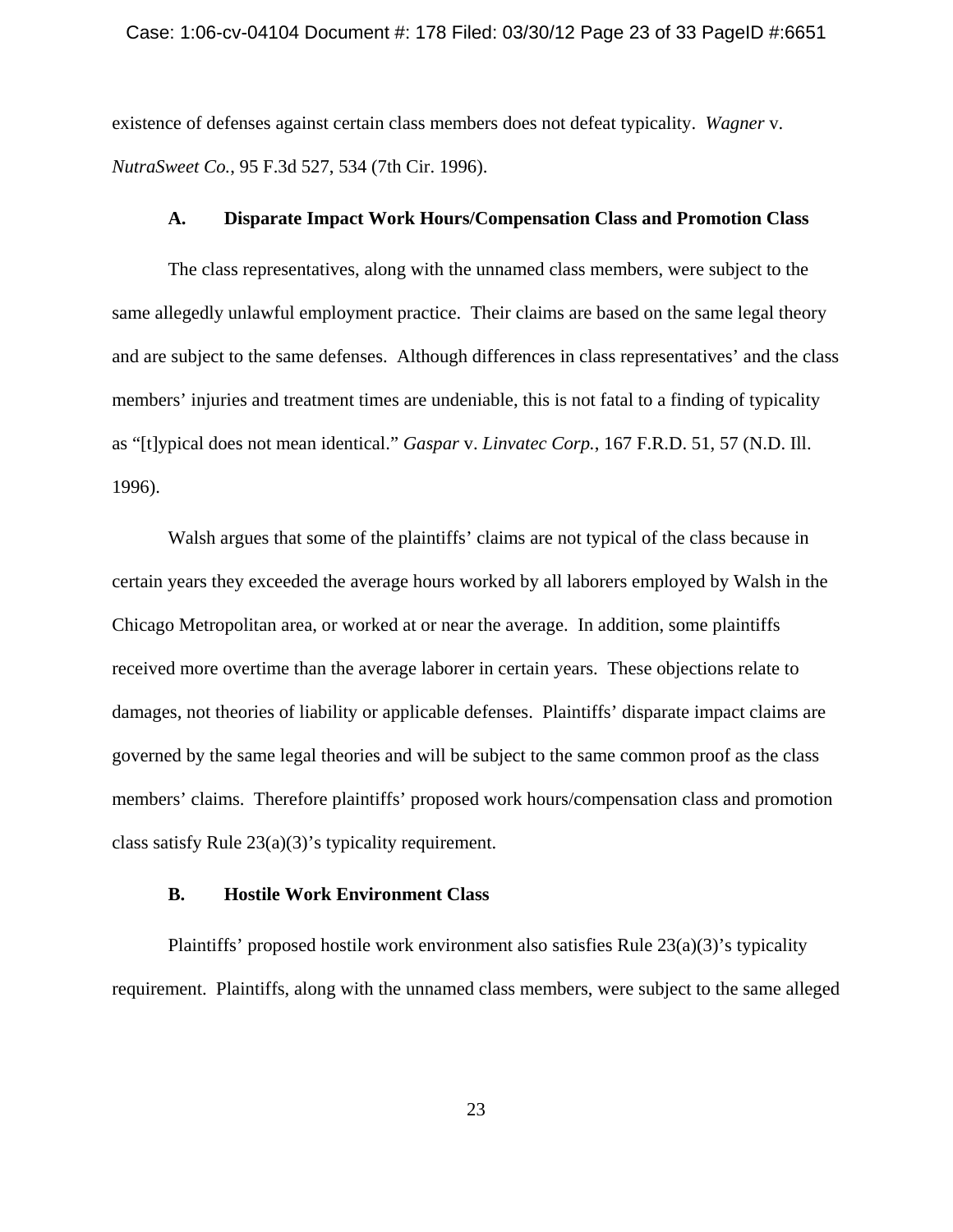#### Case: 1:06-cv-04104 Document #: 178 Filed: 03/30/12 Page 23 of 33 PageID #:6651

existence of defenses against certain class members does not defeat typicality. *Wagner* v. *NutraSweet Co.*, 95 F.3d 527, 534 (7th Cir. 1996).

# **A. Disparate Impact Work Hours/Compensation Class and Promotion Class**

The class representatives, along with the unnamed class members, were subject to the same allegedly unlawful employment practice. Their claims are based on the same legal theory and are subject to the same defenses. Although differences in class representatives' and the class members' injuries and treatment times are undeniable, this is not fatal to a finding of typicality as "[t]ypical does not mean identical." *Gaspar* v. *Linvatec Corp.*, 167 F.R.D. 51, 57 (N.D. Ill. 1996).

Walsh argues that some of the plaintiffs' claims are not typical of the class because in certain years they exceeded the average hours worked by all laborers employed by Walsh in the Chicago Metropolitan area, or worked at or near the average. In addition, some plaintiffs received more overtime than the average laborer in certain years. These objections relate to damages, not theories of liability or applicable defenses. Plaintiffs' disparate impact claims are governed by the same legal theories and will be subject to the same common proof as the class members' claims. Therefore plaintiffs' proposed work hours/compensation class and promotion class satisfy Rule 23(a)(3)'s typicality requirement.

# **B. Hostile Work Environment Class**

Plaintiffs' proposed hostile work environment also satisfies Rule 23(a)(3)'s typicality requirement. Plaintiffs, along with the unnamed class members, were subject to the same alleged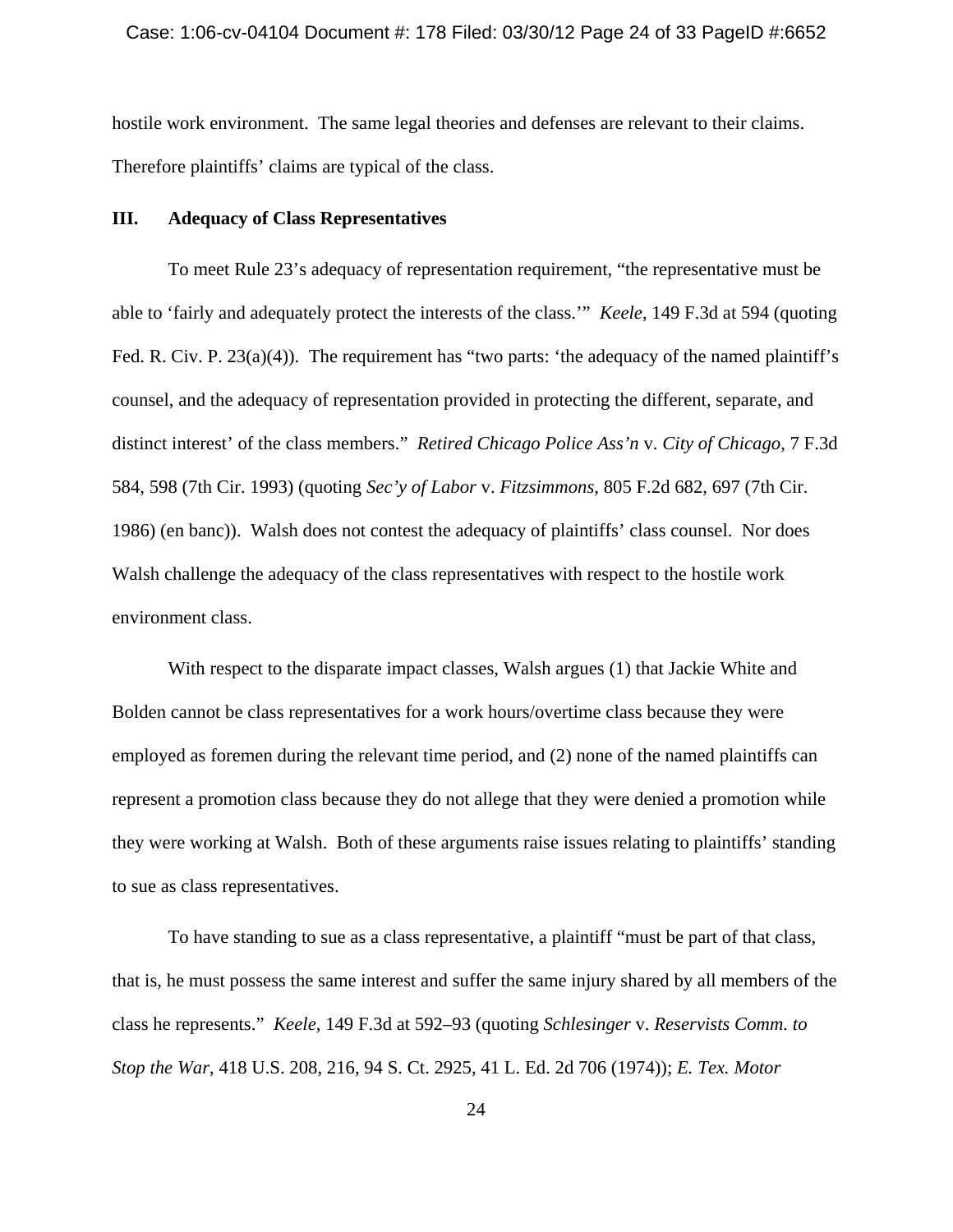hostile work environment. The same legal theories and defenses are relevant to their claims. Therefore plaintiffs' claims are typical of the class.

# **III. Adequacy of Class Representatives**

To meet Rule 23's adequacy of representation requirement, "the representative must be able to 'fairly and adequately protect the interests of the class.'" *Keele*, 149 F.3d at 594 (quoting Fed. R. Civ. P.  $23(a)(4)$ ). The requirement has "two parts: 'the adequacy of the named plaintiff's counsel, and the adequacy of representation provided in protecting the different, separate, and distinct interest' of the class members." *Retired Chicago Police Ass'n* v. *City of Chicago*, 7 F.3d 584, 598 (7th Cir. 1993) (quoting *Sec'y of Labor* v. *Fitzsimmons*, 805 F.2d 682, 697 (7th Cir. 1986) (en banc)). Walsh does not contest the adequacy of plaintiffs' class counsel. Nor does Walsh challenge the adequacy of the class representatives with respect to the hostile work environment class.

With respect to the disparate impact classes, Walsh argues (1) that Jackie White and Bolden cannot be class representatives for a work hours/overtime class because they were employed as foremen during the relevant time period, and (2) none of the named plaintiffs can represent a promotion class because they do not allege that they were denied a promotion while they were working at Walsh. Both of these arguments raise issues relating to plaintiffs' standing to sue as class representatives.

To have standing to sue as a class representative, a plaintiff "must be part of that class, that is, he must possess the same interest and suffer the same injury shared by all members of the class he represents." *Keele*, 149 F.3d at 592–93 (quoting *Schlesinger* v. *Reservists Comm. to Stop the War*, 418 U.S. 208, 216, 94 S. Ct. 2925, 41 L. Ed. 2d 706 (1974)); *E. Tex. Motor*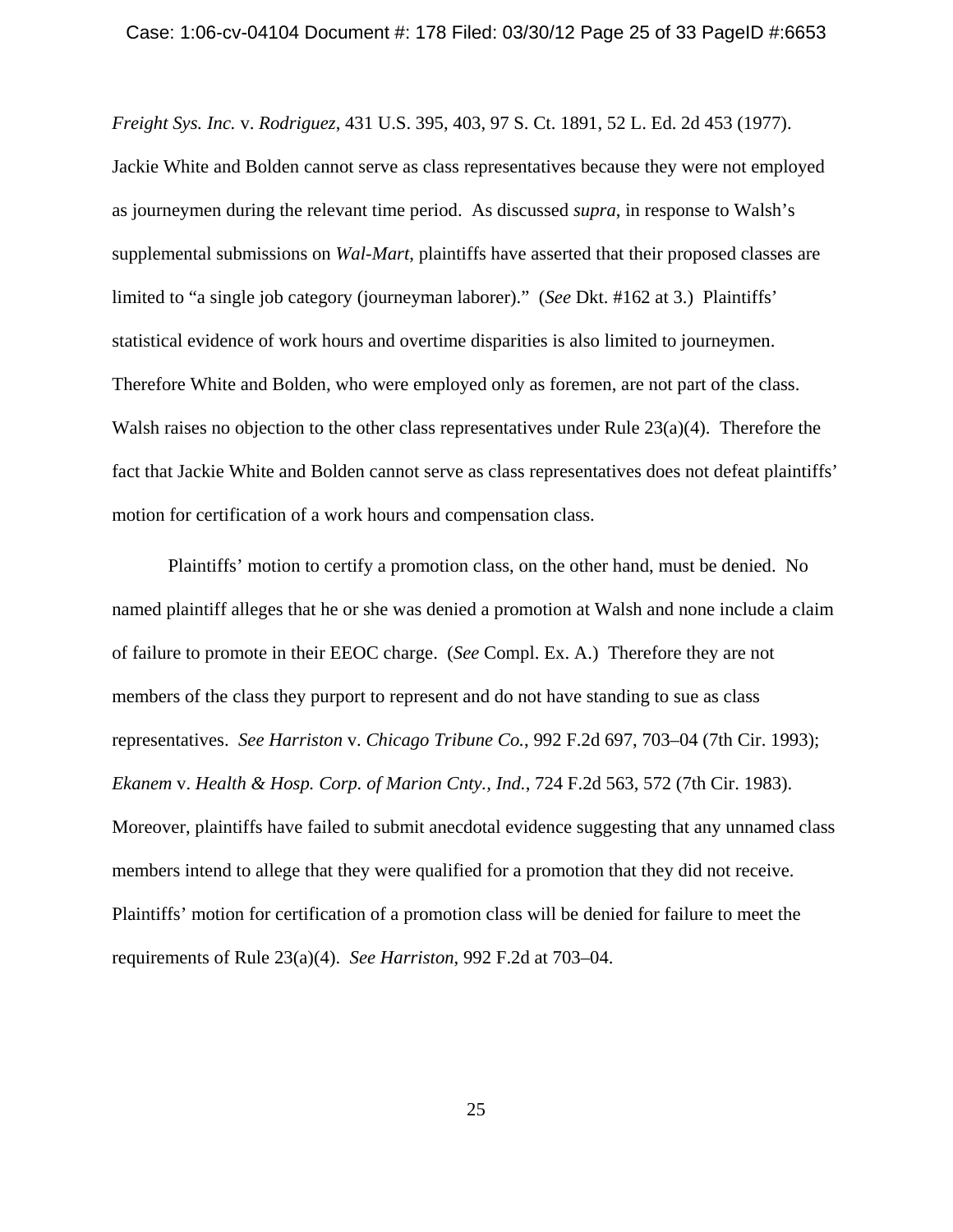#### Case: 1:06-cv-04104 Document #: 178 Filed: 03/30/12 Page 25 of 33 PageID #:6653

*Freight Sys. Inc.* v. *Rodriguez*, 431 U.S. 395, 403, 97 S. Ct. 1891, 52 L. Ed. 2d 453 (1977). Jackie White and Bolden cannot serve as class representatives because they were not employed as journeymen during the relevant time period. As discussed *supra*, in response to Walsh's supplemental submissions on *Wal-Mart*, plaintiffs have asserted that their proposed classes are limited to "a single job category (journeyman laborer)." (*See* Dkt. #162 at 3.) Plaintiffs' statistical evidence of work hours and overtime disparities is also limited to journeymen. Therefore White and Bolden, who were employed only as foremen, are not part of the class. Walsh raises no objection to the other class representatives under Rule 23(a)(4). Therefore the fact that Jackie White and Bolden cannot serve as class representatives does not defeat plaintiffs' motion for certification of a work hours and compensation class.

Plaintiffs' motion to certify a promotion class, on the other hand, must be denied. No named plaintiff alleges that he or she was denied a promotion at Walsh and none include a claim of failure to promote in their EEOC charge. (*See* Compl. Ex. A.) Therefore they are not members of the class they purport to represent and do not have standing to sue as class representatives. *See Harriston* v. *Chicago Tribune Co.*, 992 F.2d 697, 703–04 (7th Cir. 1993); *Ekanem* v. *Health & Hosp. Corp. of Marion Cnty., Ind.*, 724 F.2d 563, 572 (7th Cir. 1983). Moreover, plaintiffs have failed to submit anecdotal evidence suggesting that any unnamed class members intend to allege that they were qualified for a promotion that they did not receive. Plaintiffs' motion for certification of a promotion class will be denied for failure to meet the requirements of Rule 23(a)(4). *See Harriston*, 992 F.2d at 703–04.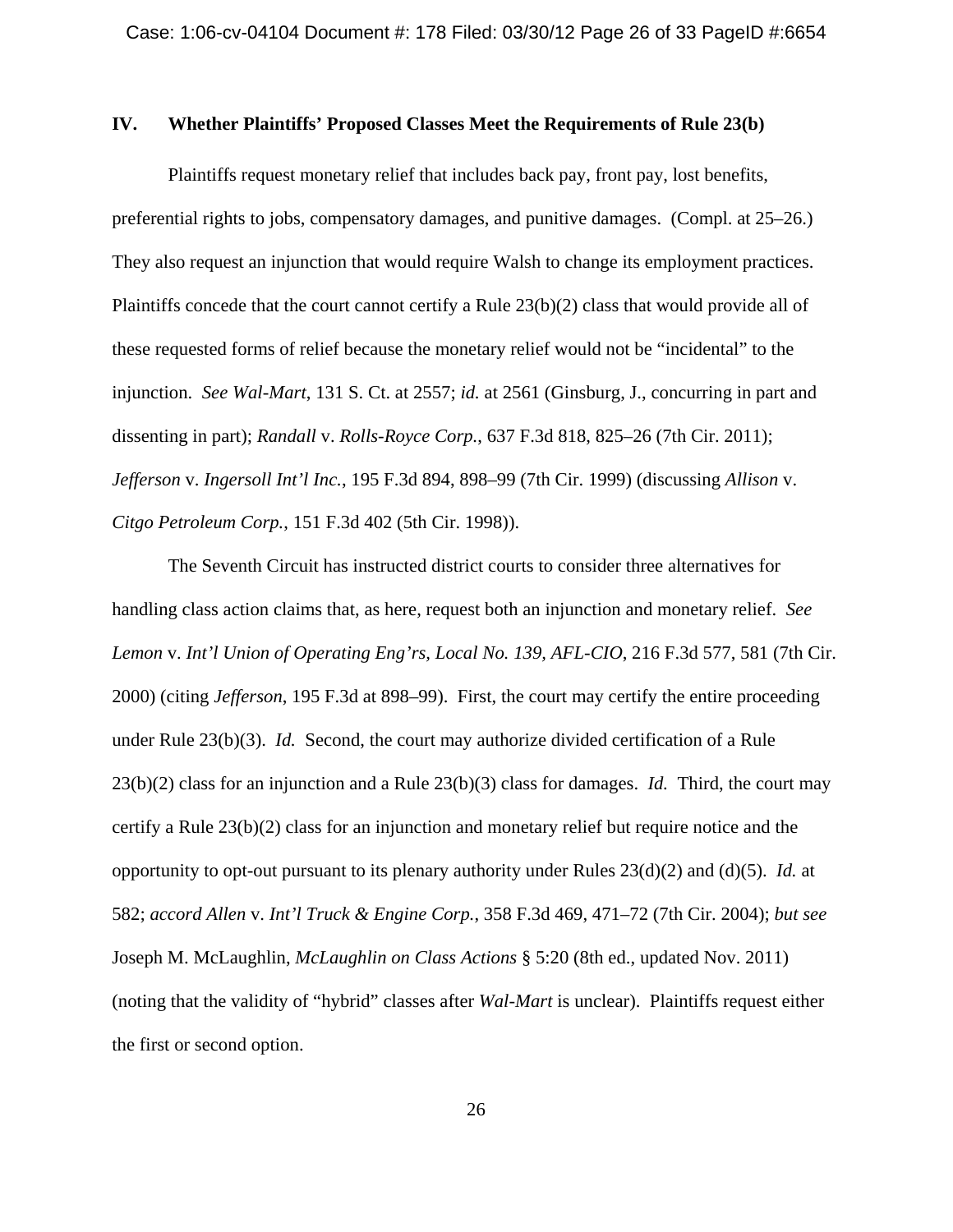# **IV. Whether Plaintiffs' Proposed Classes Meet the Requirements of Rule 23(b)**

Plaintiffs request monetary relief that includes back pay, front pay, lost benefits, preferential rights to jobs, compensatory damages, and punitive damages. (Compl. at 25–26.) They also request an injunction that would require Walsh to change its employment practices. Plaintiffs concede that the court cannot certify a Rule 23(b)(2) class that would provide all of these requested forms of relief because the monetary relief would not be "incidental" to the injunction. *See Wal-Mart*, 131 S. Ct. at 2557; *id.* at 2561 (Ginsburg, J., concurring in part and dissenting in part); *Randall* v. *Rolls-Royce Corp.*, 637 F.3d 818, 825–26 (7th Cir. 2011); *Jefferson* v. *Ingersoll Int'l Inc.*, 195 F.3d 894, 898–99 (7th Cir. 1999) (discussing *Allison* v. *Citgo Petroleum Corp.*, 151 F.3d 402 (5th Cir. 1998)).

The Seventh Circuit has instructed district courts to consider three alternatives for handling class action claims that, as here, request both an injunction and monetary relief. *See Lemon* v. *Int'l Union of Operating Eng'rs, Local No. 139, AFL-CIO*, 216 F.3d 577, 581 (7th Cir. 2000) (citing *Jefferson*, 195 F.3d at 898–99). First, the court may certify the entire proceeding under Rule 23(b)(3). *Id.* Second, the court may authorize divided certification of a Rule 23(b)(2) class for an injunction and a Rule 23(b)(3) class for damages. *Id.* Third, the court may certify a Rule 23(b)(2) class for an injunction and monetary relief but require notice and the opportunity to opt-out pursuant to its plenary authority under Rules 23(d)(2) and (d)(5). *Id.* at 582; *accord Allen* v. *Int'l Truck & Engine Corp.*, 358 F.3d 469, 471–72 (7th Cir. 2004); *but see* Joseph M. McLaughlin, *McLaughlin on Class Actions* § 5:20 (8th ed., updated Nov. 2011) (noting that the validity of "hybrid" classes after *Wal-Mart* is unclear). Plaintiffs request either the first or second option.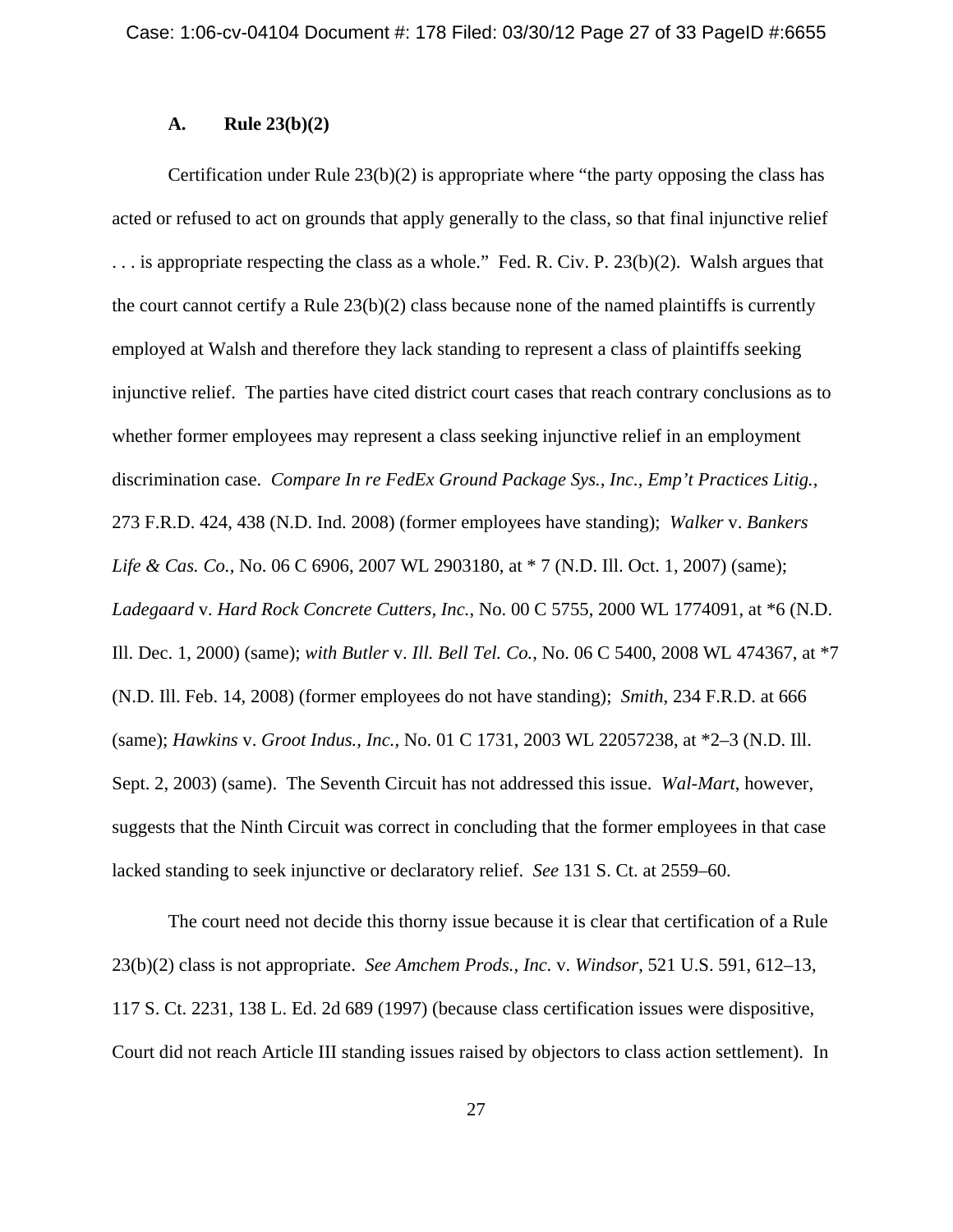# **A. Rule 23(b)(2)**

Certification under Rule  $23(b)(2)$  is appropriate where "the party opposing the class has acted or refused to act on grounds that apply generally to the class, so that final injunctive relief . . . is appropriate respecting the class as a whole." Fed. R. Civ. P. 23(b)(2). Walsh argues that the court cannot certify a Rule 23(b)(2) class because none of the named plaintiffs is currently employed at Walsh and therefore they lack standing to represent a class of plaintiffs seeking injunctive relief. The parties have cited district court cases that reach contrary conclusions as to whether former employees may represent a class seeking injunctive relief in an employment discrimination case. *Compare In re FedEx Ground Package Sys., Inc., Emp't Practices Litig.*, 273 F.R.D. 424, 438 (N.D. Ind. 2008) (former employees have standing); *Walker* v. *Bankers Life & Cas. Co.*, No. 06 C 6906, 2007 WL 2903180, at \* 7 (N.D. Ill. Oct. 1, 2007) (same); *Ladegaard* v. *Hard Rock Concrete Cutters, Inc.*, No. 00 C 5755, 2000 WL 1774091, at \*6 (N.D. Ill. Dec. 1, 2000) (same); *with Butler* v. *Ill. Bell Tel. Co.*, No. 06 C 5400, 2008 WL 474367, at \*7 (N.D. Ill. Feb. 14, 2008) (former employees do not have standing); *Smith*, 234 F.R.D. at 666 (same); *Hawkins* v. *Groot Indus., Inc.*, No. 01 C 1731, 2003 WL 22057238, at \*2–3 (N.D. Ill. Sept. 2, 2003) (same). The Seventh Circuit has not addressed this issue. *Wal-Mart*, however, suggests that the Ninth Circuit was correct in concluding that the former employees in that case lacked standing to seek injunctive or declaratory relief. *See* 131 S. Ct. at 2559–60.

The court need not decide this thorny issue because it is clear that certification of a Rule 23(b)(2) class is not appropriate. *See Amchem Prods., Inc.* v. *Windsor*, 521 U.S. 591, 612–13, 117 S. Ct. 2231, 138 L. Ed. 2d 689 (1997) (because class certification issues were dispositive, Court did not reach Article III standing issues raised by objectors to class action settlement). In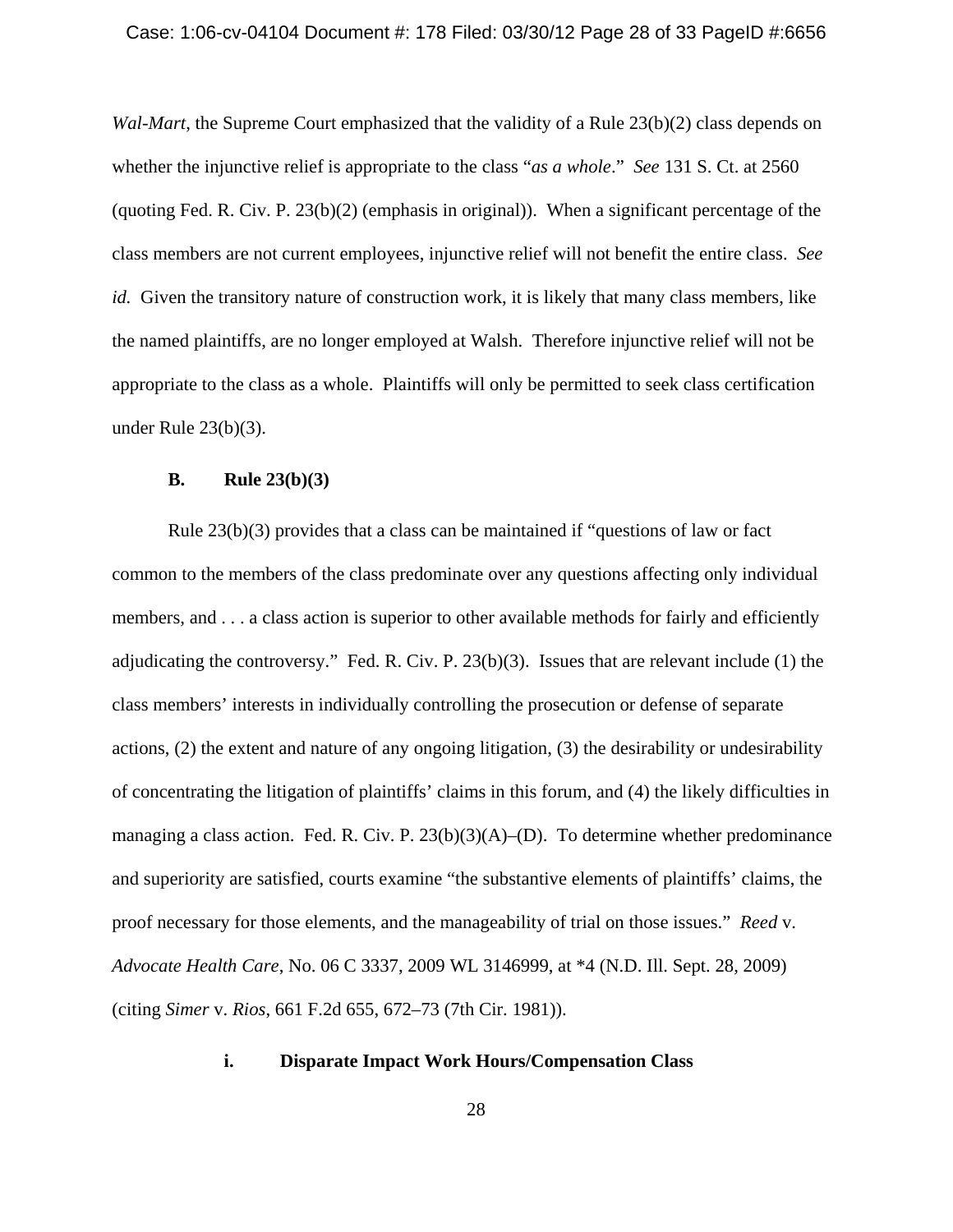#### Case: 1:06-cv-04104 Document #: 178 Filed: 03/30/12 Page 28 of 33 PageID #:6656

*Wal-Mart*, the Supreme Court emphasized that the validity of a Rule 23(b)(2) class depends on whether the injunctive relief is appropriate to the class "*as a whole*." *See* 131 S. Ct. at 2560 (quoting Fed. R. Civ. P.  $23(b)(2)$  (emphasis in original)). When a significant percentage of the class members are not current employees, injunctive relief will not benefit the entire class. *See id.* Given the transitory nature of construction work, it is likely that many class members, like the named plaintiffs, are no longer employed at Walsh. Therefore injunctive relief will not be appropriate to the class as a whole. Plaintiffs will only be permitted to seek class certification under Rule 23(b)(3).

## **B. Rule 23(b)(3)**

Rule 23(b)(3) provides that a class can be maintained if "questions of law or fact common to the members of the class predominate over any questions affecting only individual members, and . . . a class action is superior to other available methods for fairly and efficiently adjudicating the controversy." Fed. R. Civ. P.  $23(b)(3)$ . Issues that are relevant include (1) the class members' interests in individually controlling the prosecution or defense of separate actions, (2) the extent and nature of any ongoing litigation, (3) the desirability or undesirability of concentrating the litigation of plaintiffs' claims in this forum, and (4) the likely difficulties in managing a class action. Fed. R. Civ. P. 23(b)(3)(A)–(D). To determine whether predominance and superiority are satisfied, courts examine "the substantive elements of plaintiffs' claims, the proof necessary for those elements, and the manageability of trial on those issues." *Reed* v. *Advocate Health Care*, No. 06 C 3337, 2009 WL 3146999, at \*4 (N.D. Ill. Sept. 28, 2009) (citing *Simer* v. *Rios*, 661 F.2d 655, 672–73 (7th Cir. 1981)).

# **i. Disparate Impact Work Hours/Compensation Class**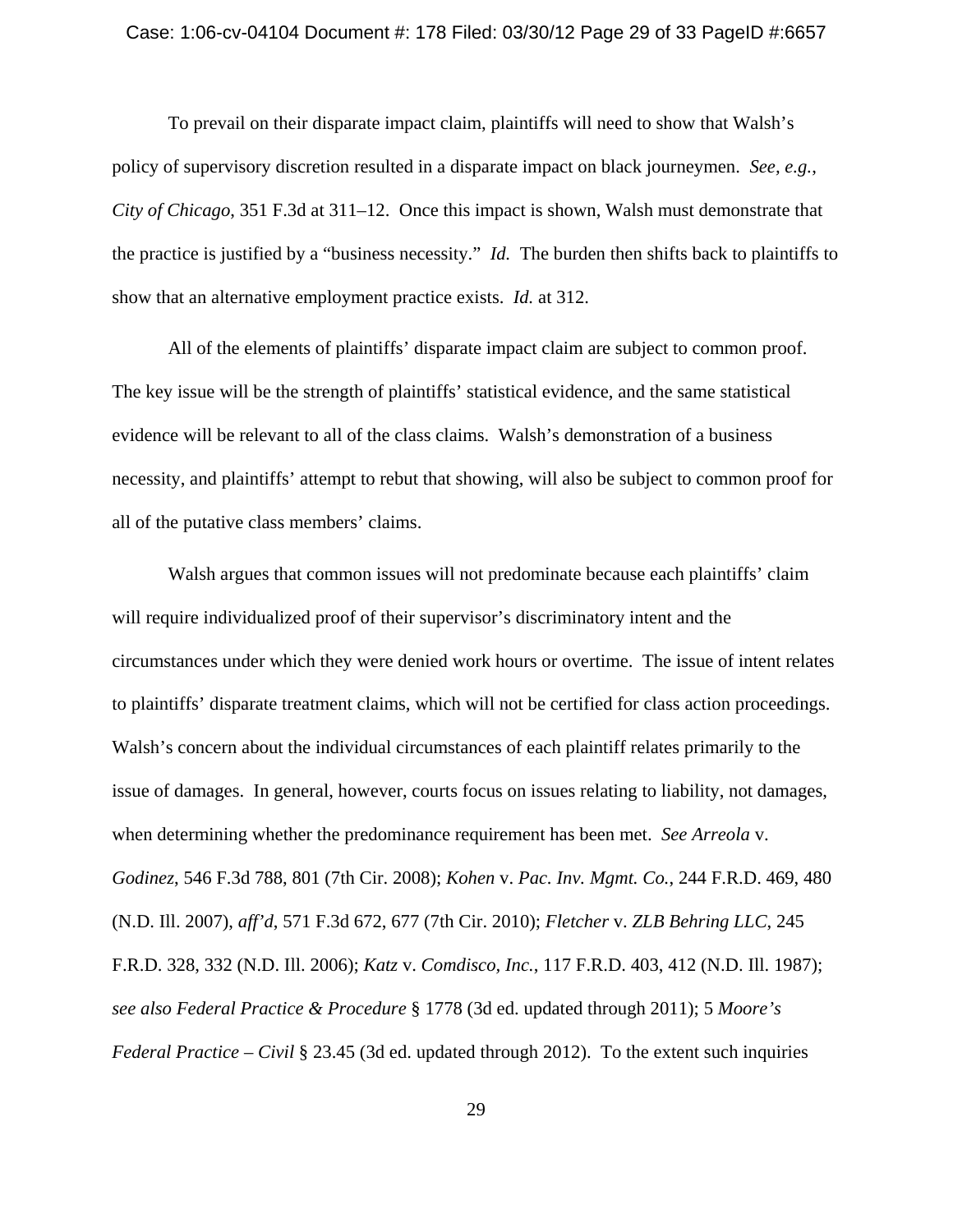#### Case: 1:06-cv-04104 Document #: 178 Filed: 03/30/12 Page 29 of 33 PageID #:6657

To prevail on their disparate impact claim, plaintiffs will need to show that Walsh's policy of supervisory discretion resulted in a disparate impact on black journeymen. *See, e.g.*, *City of Chicago*, 351 F.3d at 311–12. Once this impact is shown, Walsh must demonstrate that the practice is justified by a "business necessity." *Id.* The burden then shifts back to plaintiffs to show that an alternative employment practice exists. *Id.* at 312.

All of the elements of plaintiffs' disparate impact claim are subject to common proof. The key issue will be the strength of plaintiffs' statistical evidence, and the same statistical evidence will be relevant to all of the class claims. Walsh's demonstration of a business necessity, and plaintiffs' attempt to rebut that showing, will also be subject to common proof for all of the putative class members' claims.

Walsh argues that common issues will not predominate because each plaintiffs' claim will require individualized proof of their supervisor's discriminatory intent and the circumstances under which they were denied work hours or overtime. The issue of intent relates to plaintiffs' disparate treatment claims, which will not be certified for class action proceedings. Walsh's concern about the individual circumstances of each plaintiff relates primarily to the issue of damages. In general, however, courts focus on issues relating to liability, not damages, when determining whether the predominance requirement has been met. *See Arreola* v. *Godinez*, 546 F.3d 788, 801 (7th Cir. 2008); *Kohen* v. *Pac. Inv. Mgmt. Co.*, 244 F.R.D. 469, 480 (N.D. Ill. 2007), *aff'd*, 571 F.3d 672, 677 (7th Cir. 2010); *Fletcher* v. *ZLB Behring LLC*, 245 F.R.D. 328, 332 (N.D. Ill. 2006); *Katz* v. *Comdisco, Inc.*, 117 F.R.D. 403, 412 (N.D. Ill. 1987); *see also Federal Practice & Procedure* § 1778 (3d ed. updated through 2011); 5 *Moore's Federal Practice – Civil* § 23.45 (3d ed. updated through 2012). To the extent such inquiries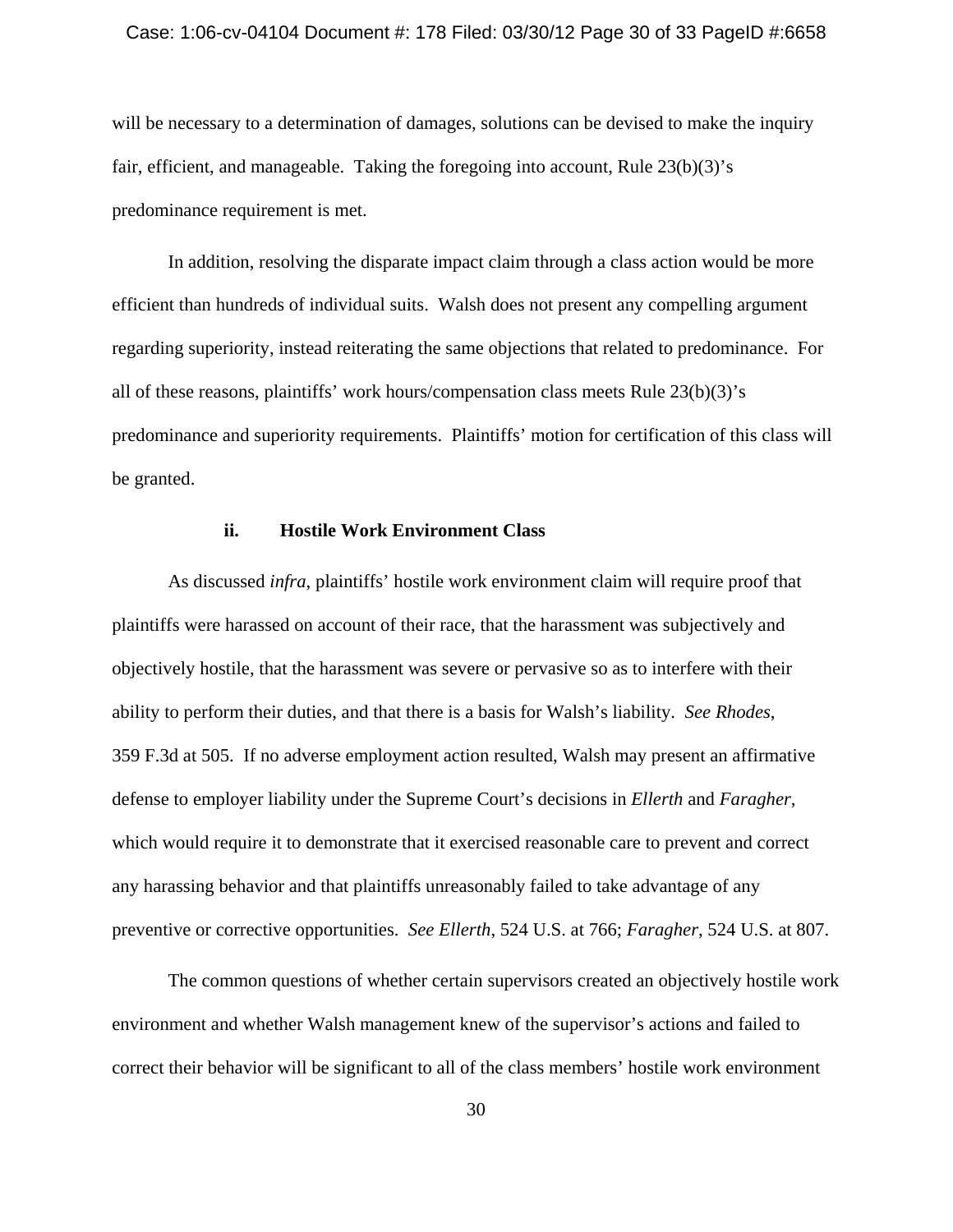#### Case: 1:06-cv-04104 Document #: 178 Filed: 03/30/12 Page 30 of 33 PageID #:6658

will be necessary to a determination of damages, solutions can be devised to make the inquiry fair, efficient, and manageable. Taking the foregoing into account, Rule 23(b)(3)'s predominance requirement is met.

In addition, resolving the disparate impact claim through a class action would be more efficient than hundreds of individual suits. Walsh does not present any compelling argument regarding superiority, instead reiterating the same objections that related to predominance. For all of these reasons, plaintiffs' work hours/compensation class meets Rule 23(b)(3)'s predominance and superiority requirements. Plaintiffs' motion for certification of this class will be granted.

## **ii. Hostile Work Environment Class**

As discussed *infra*, plaintiffs' hostile work environment claim will require proof that plaintiffs were harassed on account of their race, that the harassment was subjectively and objectively hostile, that the harassment was severe or pervasive so as to interfere with their ability to perform their duties, and that there is a basis for Walsh's liability. *See Rhodes*, 359 F.3d at 505. If no adverse employment action resulted, Walsh may present an affirmative defense to employer liability under the Supreme Court's decisions in *Ellerth* and *Faragher*, which would require it to demonstrate that it exercised reasonable care to prevent and correct any harassing behavior and that plaintiffs unreasonably failed to take advantage of any preventive or corrective opportunities. *See Ellerth*, 524 U.S. at 766; *Faragher*, 524 U.S. at 807.

The common questions of whether certain supervisors created an objectively hostile work environment and whether Walsh management knew of the supervisor's actions and failed to correct their behavior will be significant to all of the class members' hostile work environment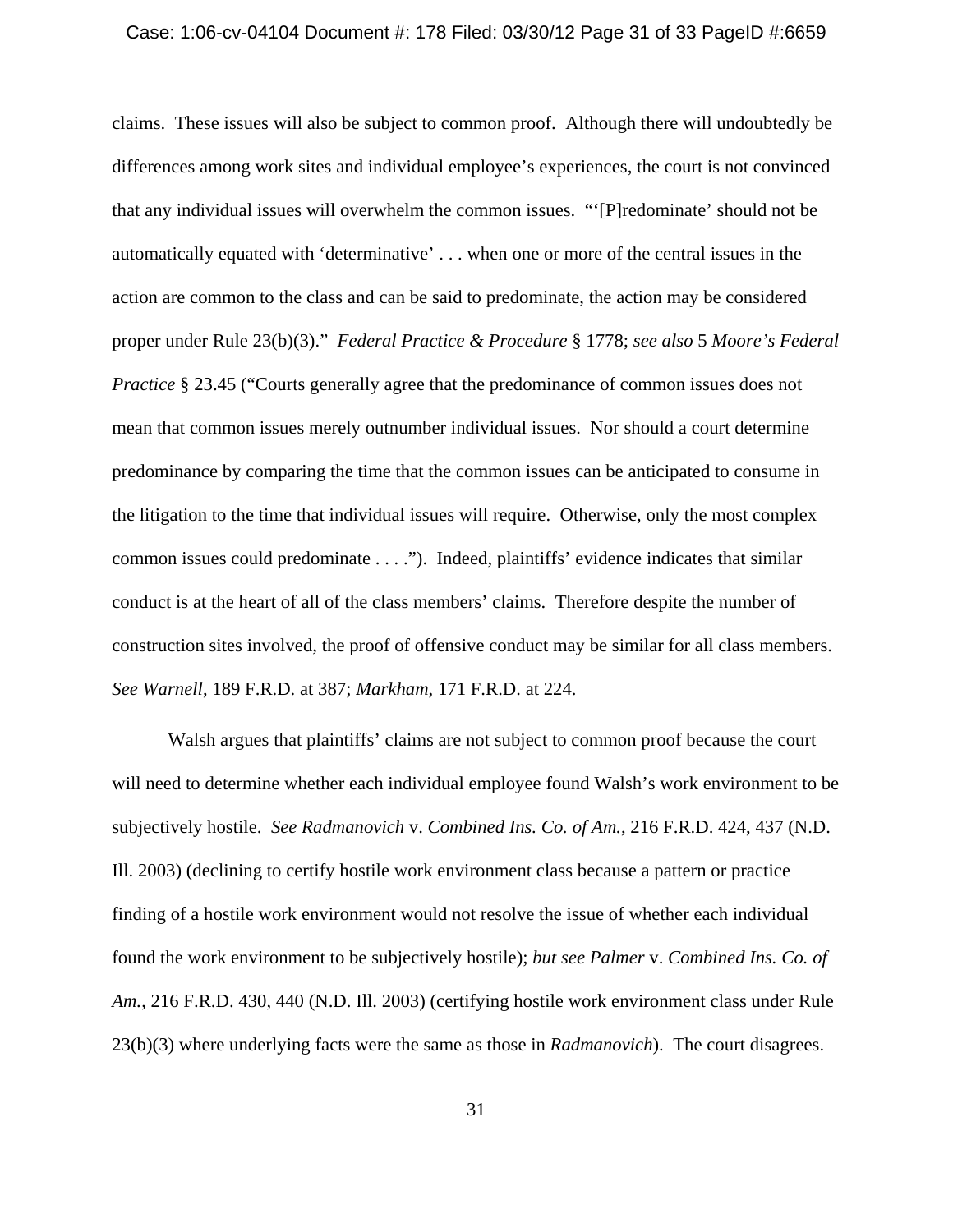#### Case: 1:06-cv-04104 Document #: 178 Filed: 03/30/12 Page 31 of 33 PageID #:6659

claims. These issues will also be subject to common proof. Although there will undoubtedly be differences among work sites and individual employee's experiences, the court is not convinced that any individual issues will overwhelm the common issues. "'[P]redominate' should not be automatically equated with 'determinative' . . . when one or more of the central issues in the action are common to the class and can be said to predominate, the action may be considered proper under Rule 23(b)(3)." *Federal Practice & Procedure* § 1778; *see also* 5 *Moore's Federal Practice* § 23.45 ("Courts generally agree that the predominance of common issues does not mean that common issues merely outnumber individual issues. Nor should a court determine predominance by comparing the time that the common issues can be anticipated to consume in the litigation to the time that individual issues will require. Otherwise, only the most complex common issues could predominate . . . ."). Indeed, plaintiffs' evidence indicates that similar conduct is at the heart of all of the class members' claims. Therefore despite the number of construction sites involved, the proof of offensive conduct may be similar for all class members. *See Warnell*, 189 F.R.D. at 387; *Markham*, 171 F.R.D. at 224.

Walsh argues that plaintiffs' claims are not subject to common proof because the court will need to determine whether each individual employee found Walsh's work environment to be subjectively hostile. *See Radmanovich* v. *Combined Ins. Co. of Am.*, 216 F.R.D. 424, 437 (N.D. Ill. 2003) (declining to certify hostile work environment class because a pattern or practice finding of a hostile work environment would not resolve the issue of whether each individual found the work environment to be subjectively hostile); *but see Palmer* v. *Combined Ins. Co. of Am.*, 216 F.R.D. 430, 440 (N.D. Ill. 2003) (certifying hostile work environment class under Rule 23(b)(3) where underlying facts were the same as those in *Radmanovich*). The court disagrees.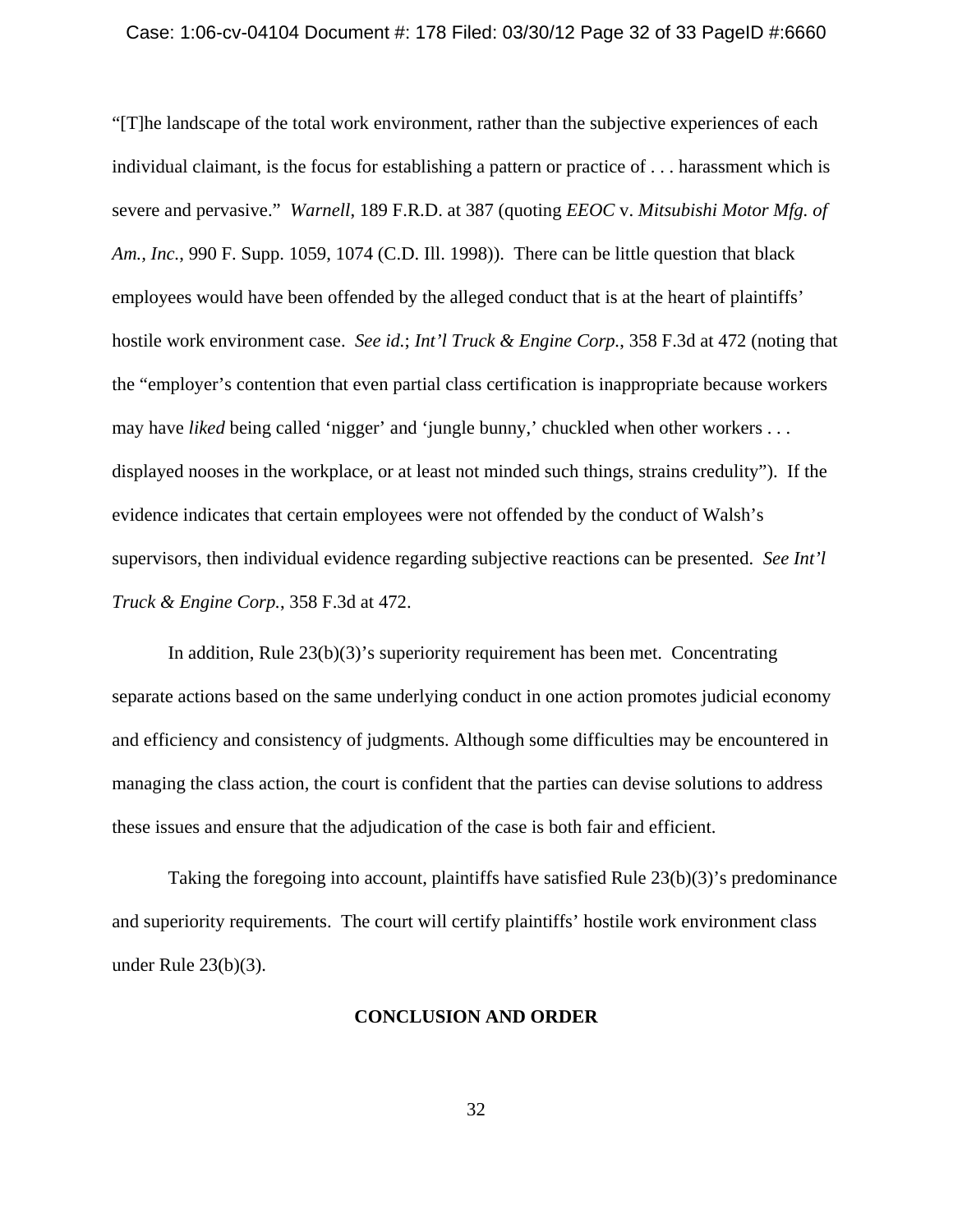#### Case: 1:06-cv-04104 Document #: 178 Filed: 03/30/12 Page 32 of 33 PageID #:6660

"[T]he landscape of the total work environment, rather than the subjective experiences of each individual claimant, is the focus for establishing a pattern or practice of . . . harassment which is severe and pervasive." *Warnell*, 189 F.R.D. at 387 (quoting *EEOC* v. *Mitsubishi Motor Mfg. of Am., Inc.*, 990 F. Supp. 1059, 1074 (C.D. Ill. 1998)). There can be little question that black employees would have been offended by the alleged conduct that is at the heart of plaintiffs' hostile work environment case. *See id.*; *Int'l Truck & Engine Corp.*, 358 F.3d at 472 (noting that the "employer's contention that even partial class certification is inappropriate because workers may have *liked* being called 'nigger' and 'jungle bunny,' chuckled when other workers . . . displayed nooses in the workplace, or at least not minded such things, strains credulity"). If the evidence indicates that certain employees were not offended by the conduct of Walsh's supervisors, then individual evidence regarding subjective reactions can be presented. *See Int'l Truck & Engine Corp.*, 358 F.3d at 472.

In addition, Rule 23(b)(3)'s superiority requirement has been met. Concentrating separate actions based on the same underlying conduct in one action promotes judicial economy and efficiency and consistency of judgments. Although some difficulties may be encountered in managing the class action, the court is confident that the parties can devise solutions to address these issues and ensure that the adjudication of the case is both fair and efficient.

Taking the foregoing into account, plaintiffs have satisfied Rule 23(b)(3)'s predominance and superiority requirements. The court will certify plaintiffs' hostile work environment class under Rule 23(b)(3).

## **CONCLUSION AND ORDER**